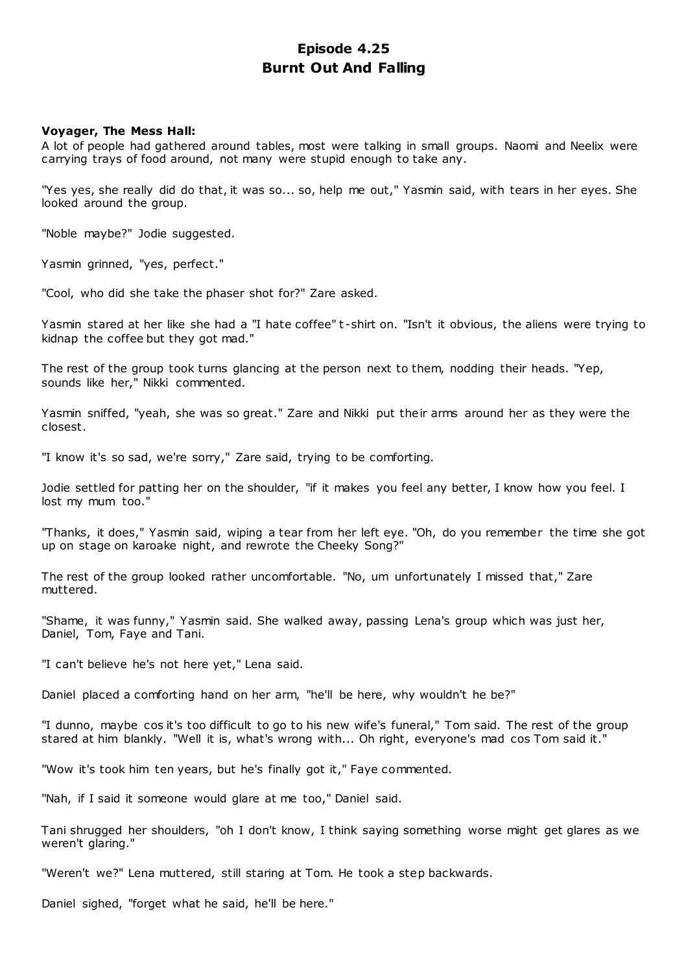# **Episode 4.25 Burnt Out And Falling**

# **Voyager, The Mess Hall:**

A lot of people had gathered around tables, most were talking in small groups. Naomi and Neelix were carrying trays of food around, not many were stupid enough to take any.

"Yes yes, she really did do that, it was so... so, help me out," Yasmin said, with tears in her eyes. She looked around the group.

"Noble maybe?" Jodie suggested.

Yasmin grinned, "yes, perfect."

"Cool, who did she take the phaser shot for?" Zare asked.

Yasmin stared at her like she had a "I hate coffee" t -shirt on. "Isn't it obvious, the aliens were trying to kidnap the coffee but they got mad."

The rest of the group took turns glancing at the person next to them, nodding their heads. "Yep, sounds like her," Nikki commented.

Yasmin sniffed, "yeah, she was so great." Zare and Nikki put their arms around her as they were the closest.

"I know it's so sad, we're sorry," Zare said, trying to be comforting.

Jodie settled for patting her on the shoulder, "if it makes you feel any better, I know how you feel. I lost my mum too."

"Thanks, it does," Yasmin said, wiping a tear from her left eye. "Oh, do you remember the time she got up on stage on karoake night, and rewrote the Cheeky Song?"

The rest of the group looked rather uncomfortable. "No, um unfortunately I missed that," Zare muttered.

"Shame, it was funny," Yasmin said. She walked away, passing Lena's group which was just her, Daniel, Tom, Faye and Tani.

"I can't believe he's not here yet," Lena said.

Daniel placed a comforting hand on her arm, "he'll be here, why wouldn't he be?"

"I dunno, maybe cos it's too difficult to go to his new wife's funeral," Tom said. The rest of the group stared at him blankly. "Well it is, what's wrong with... Oh right, everyone's mad cos Tom said it."

"Wow it's took him ten years, but he's finally got it," Faye commented.

"Nah, if I said it someone would glare at me too," Daniel said.

Tani shrugged her shoulders, "oh I don't know, I think saying something worse might get glares as we weren't glaring."

"Weren't we?" Lena muttered, still staring at Tom. He took a step backwards.

Daniel sighed, "forget what he said, he'll be here."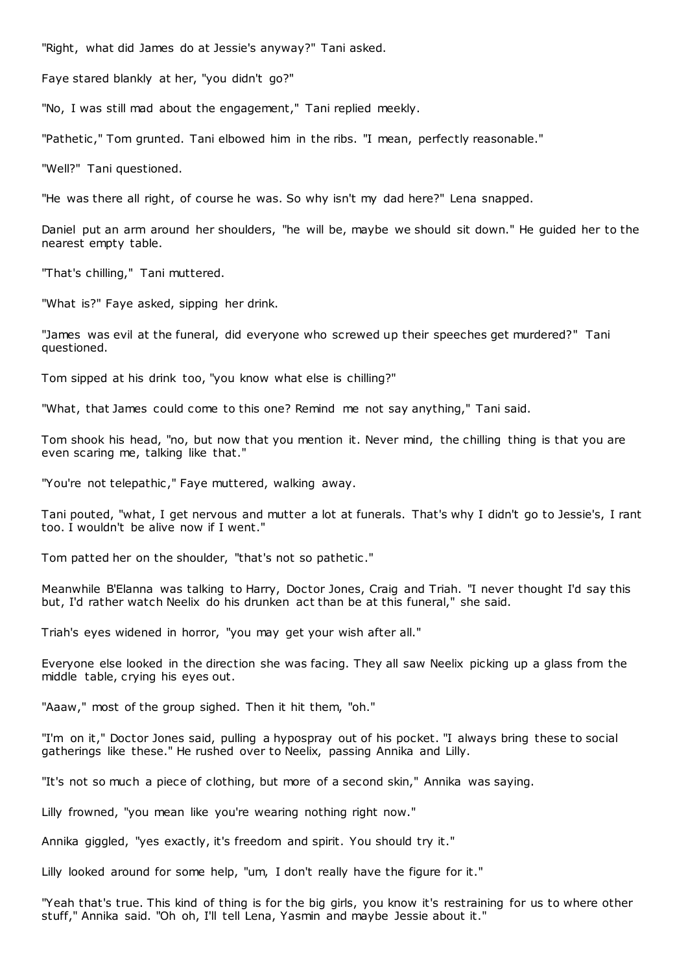"Right, what did James do at Jessie's anyway?" Tani asked.

Faye stared blankly at her, "you didn't go?"

"No, I was still mad about the engagement," Tani replied meekly.

"Pathetic ," Tom grunted. Tani elbowed him in the ribs. "I mean, perfectly reasonable."

"Well?" Tani questioned.

"He was there all right, of course he was. So why isn't my dad here?" Lena snapped.

Daniel put an arm around her shoulders, "he will be, maybe we should sit down." He guided her to the nearest empty table.

"That's chilling," Tani muttered.

"What is?" Faye asked, sipping her drink.

"James was evil at the funeral, did everyone who screwed up their speeches get murdered?" Tani questioned.

Tom sipped at his drink too, "you know what else is chilling?"

"What, that James could come to this one? Remind me not say anything," Tani said.

Tom shook his head, "no, but now that you mention it. Never mind, the chilling thing is that you are even scaring me, talking like that."

"You're not telepathic ," Faye muttered, walking away.

Tani pouted, "what, I get nervous and mutter a lot at funerals. That's why I didn't go to Jessie's, I rant too. I wouldn't be alive now if I went."

Tom patted her on the shoulder, "that's not so pathetic ."

Meanwhile B'Elanna was talking to Harry, Doctor Jones, Craig and Triah. "I never thought I'd say this but, I'd rather watch Neelix do his drunken act than be at this funeral," she said.

Triah's eyes widened in horror, "you may get your wish after all."

Everyone else looked in the direction she was facing. They all saw Neelix picking up a glass from the middle table, crying his eyes out.

"Aaaw," most of the group sighed. Then it hit them, "oh."

"I'm on it," Doctor Jones said, pulling a hypospray out of his pocket. "I always bring these to social gatherings like these." He rushed over to Neelix, passing Annika and Lilly.

"It's not so much a piece of clothing, but more of a second skin," Annika was saying.

Lilly frowned, "you mean like you're wearing nothing right now."

Annika giggled, "yes exactly, it's freedom and spirit. You should try it."

Lilly looked around for some help, "um, I don't really have the figure for it."

"Yeah that's true. This kind of thing is for the big girls, you know it's restraining for us to where other stuff," Annika said. "Oh oh, I'll tell Lena, Yasmin and maybe Jessie about it."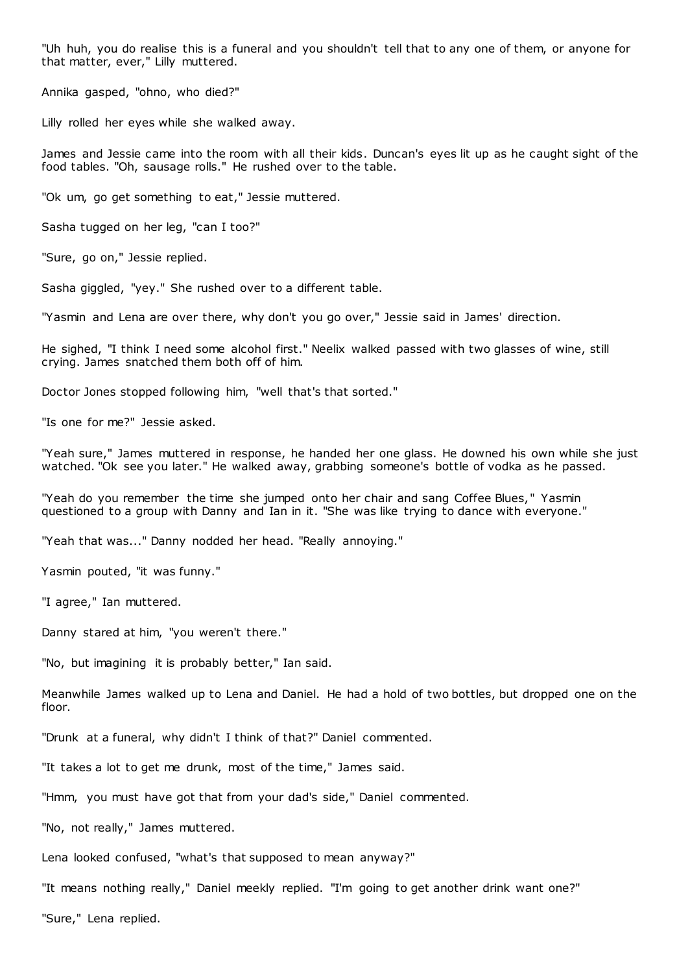"Uh huh, you do realise this is a funeral and you shouldn't tell that to any one of them, or anyone for that matter, ever," Lilly muttered.

Annika gasped, "ohno, who died?"

Lilly rolled her eyes while she walked away.

James and Jessie came into the room with all their kids. Duncan's eyes lit up as he caught sight of the food tables. "Oh, sausage rolls." He rushed over to the table.

"Ok um, go get something to eat," Jessie muttered.

Sasha tugged on her leg, "can I too?"

"Sure, go on," Jessie replied.

Sasha giggled, "yey." She rushed over to a different table.

"Yasmin and Lena are over there, why don't you go over," Jessie said in James' direction.

He sighed, "I think I need some alcohol first." Neelix walked passed with two glasses of wine, still crying. James snatched them both off of him.

Doctor Jones stopped following him, "well that's that sorted."

"Is one for me?" Jessie asked.

"Yeah sure," James muttered in response, he handed her one glass. He downed his own while she just watched. "Ok see you later." He walked away, grabbing someone's bottle of vodka as he passed.

"Yeah do you remember the time she jumped onto her chair and sang Coffee Blues, " Yasmin questioned to a group with Danny and Ian in it. "She was like trying to dance with everyone."

"Yeah that was..." Danny nodded her head. "Really annoying."

Yasmin pouted, "it was funny."

"I agree," Ian muttered.

Danny stared at him, "you weren't there."

"No, but imagining it is probably better," Ian said.

Meanwhile James walked up to Lena and Daniel. He had a hold of two bottles, but dropped one on the floor.

"Drunk at a funeral, why didn't I think of that?" Daniel commented.

"It takes a lot to get me drunk, most of the time," James said.

"Hmm, you must have got that from your dad's side," Daniel commented.

"No, not really," James muttered.

Lena looked confused, "what's that supposed to mean anyway?"

"It means nothing really," Daniel meekly replied. "I'm going to get another drink want one?"

"Sure," Lena replied.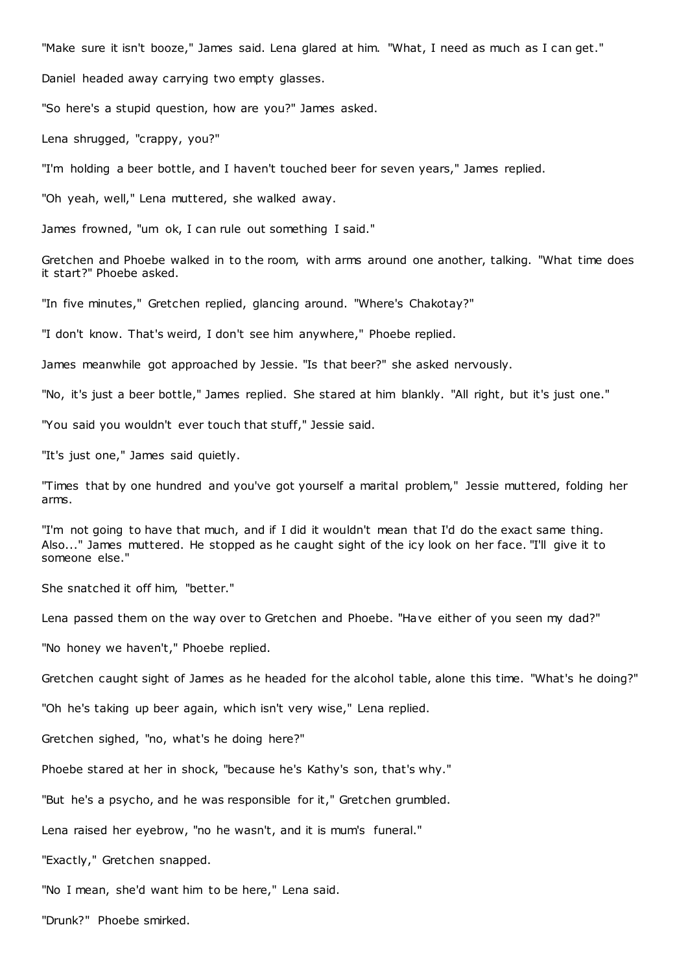"Make sure it isn't booze," James said. Lena glared at him. "What, I need as much as I can get."

Daniel headed away carrying two empty glasses.

"So here's a stupid question, how are you?" James asked.

Lena shrugged, "crappy, you?"

"I'm holding a beer bottle, and I haven't touched beer for seven years," James replied.

"Oh yeah, well," Lena muttered, she walked away.

James frowned, "um ok, I can rule out something I said."

Gretchen and Phoebe walked in to the room, with arms around one another, talking. "What time does it start?" Phoebe asked.

"In five minutes," Gretchen replied, glancing around. "Where's Chakotay?"

"I don't know. That's weird, I don't see him anywhere," Phoebe replied.

James meanwhile got approached by Jessie. "Is that beer?" she asked nervously.

"No, it's just a beer bottle," James replied. She stared at him blankly. "All right, but it's just one."

"You said you wouldn't ever touch that stuff," Jessie said.

"It's just one," James said quietly.

"Times that by one hundred and you've got yourself a marital problem," Jessie muttered, folding her arms.

"I'm not going to have that much, and if I did it wouldn't mean that I'd do the exact same thing. Also..." James muttered. He stopped as he caught sight of the icy look on her face. "I'll give it to someone else."

She snatched it off him, "better."

Lena passed them on the way over to Gretchen and Phoebe. "Have either of you seen my dad?"

"No honey we haven't," Phoebe replied.

Gretchen caught sight of James as he headed for the alcohol table, alone this time. "What's he doing?"

"Oh he's taking up beer again, which isn't very wise," Lena replied.

Gretchen sighed, "no, what's he doing here?"

Phoebe stared at her in shock, "because he's Kathy's son, that's why."

"But he's a psycho, and he was responsible for it," Gretchen grumbled.

Lena raised her eyebrow, "no he wasn't, and it is mum's funeral."

"Exactly," Gretchen snapped.

"No I mean, she'd want him to be here," Lena said.

"Drunk?" Phoebe smirked.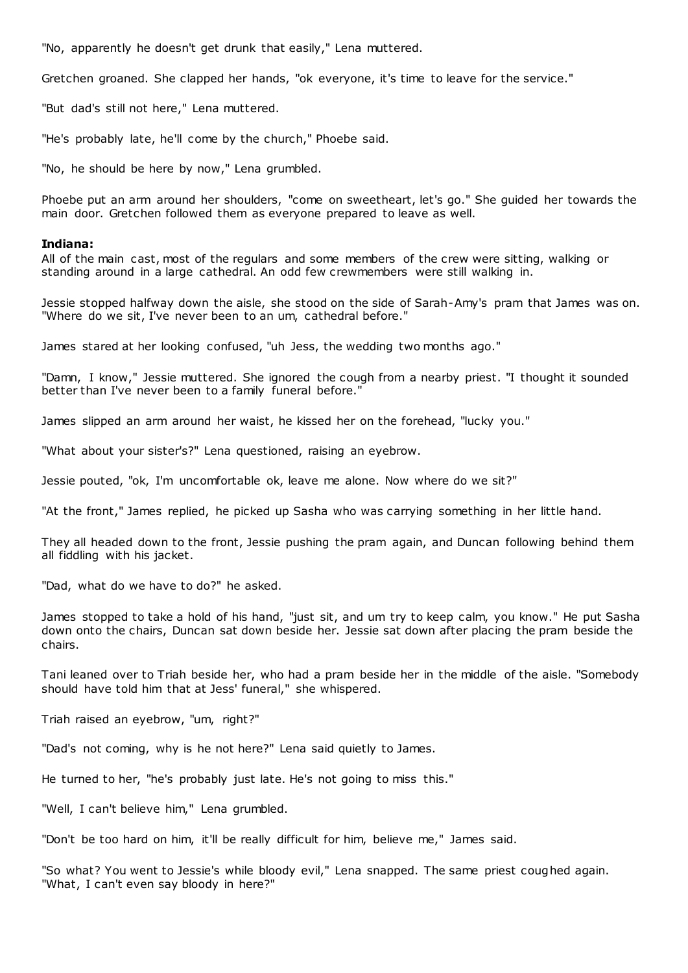"No, apparently he doesn't get drunk that easily," Lena muttered.

Gretchen groaned. She clapped her hands, "ok everyone, it's time to leave for the service."

"But dad's still not here," Lena muttered.

"He's probably late, he'll come by the church," Phoebe said.

"No, he should be here by now," Lena grumbled.

Phoebe put an arm around her shoulders, "come on sweetheart, let's go." She guided her towards the main door. Gretchen followed them as everyone prepared to leave as well.

# **Indiana:**

All of the main cast, most of the regulars and some members of the crew were sitting, walking or standing around in a large cathedral. An odd few crewmembers were still walking in.

Jessie stopped halfway down the aisle, she stood on the side of Sarah-Amy's pram that James was on. "Where do we sit, I've never been to an um, cathedral before."

James stared at her looking confused, "uh Jess, the wedding two months ago."

"Damn, I know," Jessie muttered. She ignored the cough from a nearby priest. "I thought it sounded better than I've never been to a family funeral before."

James slipped an arm around her waist, he kissed her on the forehead, "lucky you."

"What about your sister's?" Lena questioned, raising an eyebrow.

Jessie pouted, "ok, I'm uncomfortable ok, leave me alone. Now where do we sit?"

"At the front," James replied, he picked up Sasha who was carrying something in her little hand.

They all headed down to the front, Jessie pushing the pram again, and Duncan following behind them all fiddling with his jacket.

"Dad, what do we have to do?" he asked.

James stopped to take a hold of his hand, "just sit, and um try to keep calm, you know." He put Sasha down onto the chairs, Duncan sat down beside her. Jessie sat down after placing the pram beside the chairs.

Tani leaned over to Triah beside her, who had a pram beside her in the middle of the aisle. "Somebody should have told him that at Jess' funeral," she whispered.

Triah raised an eyebrow, "um, right?"

"Dad's not coming, why is he not here?" Lena said quietly to James.

He turned to her, "he's probably just late. He's not going to miss this."

"Well, I can't believe him," Lena grumbled.

"Don't be too hard on him, it'll be really difficult for him, believe me," James said.

"So what? You went to Jessie's while bloody evil," Lena snapped. The same priest coughed again. "What, I can't even say bloody in here?"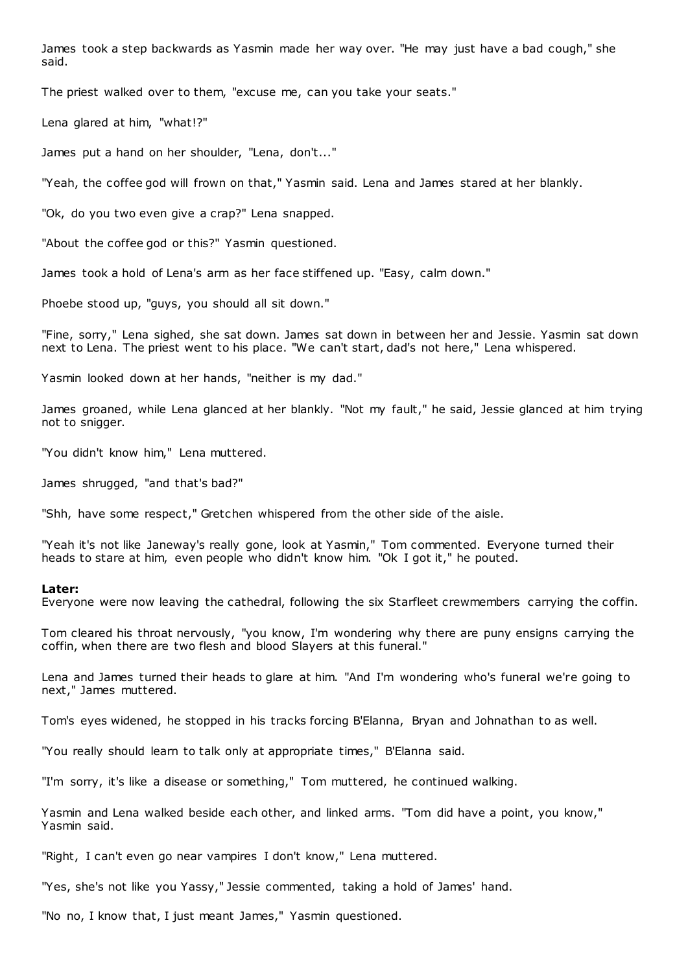James took a step backwards as Yasmin made her way over. "He may just have a bad cough," she said.

The priest walked over to them, "excuse me, can you take your seats."

Lena glared at him, "what!?"

James put a hand on her shoulder, "Lena, don't..."

"Yeah, the coffee god will frown on that," Yasmin said. Lena and James stared at her blankly.

"Ok, do you two even give a crap?" Lena snapped.

"About the coffee god or this?" Yasmin questioned.

James took a hold of Lena's arm as her face stiffened up. "Easy, calm down."

Phoebe stood up, "guys, you should all sit down."

"Fine, sorry," Lena sighed, she sat down. James sat down in between her and Jessie. Yasmin sat down next to Lena. The priest went to his place. "We can't start, dad's not here," Lena whispered.

Yasmin looked down at her hands, "neither is my dad."

James groaned, while Lena glanced at her blankly. "Not my fault," he said, Jessie glanced at him trying not to snigger.

"You didn't know him," Lena muttered.

James shrugged, "and that's bad?"

"Shh, have some respect," Gretchen whispered from the other side of the aisle.

"Yeah it's not like Janeway's really gone, look at Yasmin," Tom commented. Everyone turned their heads to stare at him, even people who didn't know him. "Ok I got it," he pouted.

#### **Later:**

Everyone were now leaving the cathedral, following the six Starfleet crewmembers carrying the coffin.

Tom cleared his throat nervously, "you know, I'm wondering why there are puny ensigns carrying the coffin, when there are two flesh and blood Slayers at this funeral."

Lena and James turned their heads to glare at him. "And I'm wondering who's funeral we're going to next," James muttered.

Tom's eyes widened, he stopped in his tracks forcing B'Elanna, Bryan and Johnathan to as well.

"You really should learn to talk only at appropriate times," B'Elanna said.

"I'm sorry, it's like a disease or something," Tom muttered, he continued walking.

Yasmin and Lena walked beside each other, and linked arms. "Tom did have a point, you know," Yasmin said.

"Right, I can't even go near vampires I don't know," Lena muttered.

"Yes, she's not like you Yassy," Jessie commented, taking a hold of James' hand.

"No no, I know that, I just meant James," Yasmin questioned.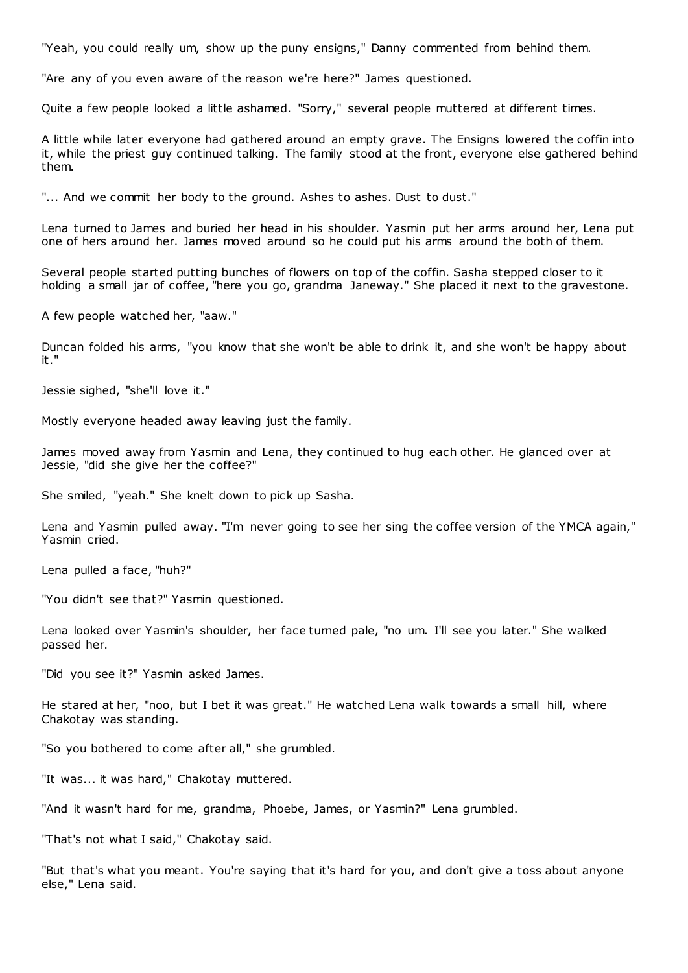"Yeah, you could really um, show up the puny ensigns," Danny commented from behind them.

"Are any of you even aware of the reason we're here?" James questioned.

Quite a few people looked a little ashamed. "Sorry," several people muttered at different times.

A little while later everyone had gathered around an empty grave. The Ensigns lowered the coffin into it, while the priest guy continued talking. The family stood at the front, everyone else gathered behind them.

"... And we commit her body to the ground. Ashes to ashes. Dust to dust."

Lena turned to James and buried her head in his shoulder. Yasmin put her arms around her, Lena put one of hers around her. James moved around so he could put his arms around the both of them.

Several people started putting bunches of flowers on top of the coffin. Sasha stepped closer to it holding a small jar of coffee, "here you go, grandma Janeway." She placed it next to the gravestone.

A few people watched her, "aaw."

Duncan folded his arms, "you know that she won't be able to drink it, and she won't be happy about it."

Jessie sighed, "she'll love it."

Mostly everyone headed away leaving just the family.

James moved away from Yasmin and Lena, they continued to hug each other. He glanced over at Jessie, "did she give her the coffee?"

She smiled, "yeah." She knelt down to pick up Sasha.

Lena and Yasmin pulled away. "I'm never going to see her sing the coffee version of the YMCA again," Yasmin cried.

Lena pulled a face, "huh?"

"You didn't see that?" Yasmin questioned.

Lena looked over Yasmin's shoulder, her face turned pale, "no um. I'll see you later." She walked passed her.

"Did you see it?" Yasmin asked James.

He stared at her, "noo, but I bet it was great." He watched Lena walk towards a small hill, where Chakotay was standing.

"So you bothered to come after all," she grumbled.

"It was... it was hard," Chakotay muttered.

"And it wasn't hard for me, grandma, Phoebe, James, or Yasmin?" Lena grumbled.

"That's not what I said," Chakotay said.

"But that's what you meant. You're saying that it's hard for you, and don't give a toss about anyone else," Lena said.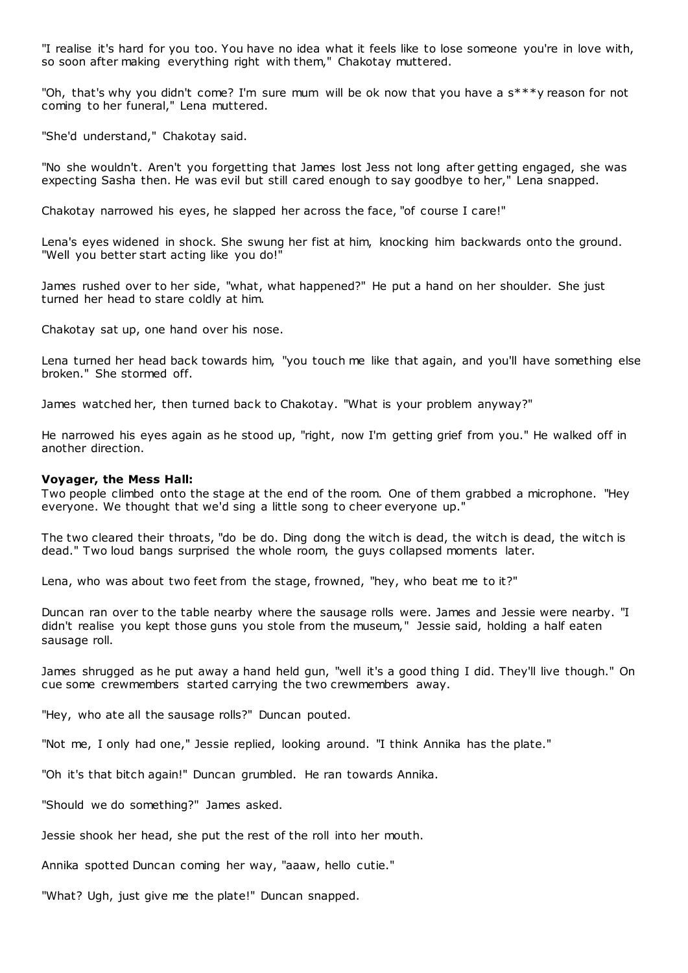"I realise it's hard for you too. You have no idea what it feels like to lose someone you're in love with, so soon after making everything right with them," Chakotay muttered.

"Oh, that's why you didn't come? I'm sure mum will be ok now that you have a  $s^{***}$ y reason for not coming to her funeral," Lena muttered.

"She'd understand," Chakotay said.

"No she wouldn't. Aren't you forgetting that James lost Jess not long after getting engaged, she was expecting Sasha then. He was evil but still cared enough to say goodbye to her," Lena snapped.

Chakotay narrowed his eyes, he slapped her across the face, "of course I care!"

Lena's eyes widened in shock. She swung her fist at him, knocking him backwards onto the ground. "Well you better start acting like you do!"

James rushed over to her side, "what, what happened?" He put a hand on her shoulder. She just turned her head to stare coldly at him.

Chakotay sat up, one hand over his nose.

Lena turned her head back towards him, "you touch me like that again, and you'll have something else broken." She stormed off.

James watched her, then turned back to Chakotay. "What is your problem anyway?"

He narrowed his eyes again as he stood up, "right, now I'm getting grief from you." He walked off in another direction.

#### **Voyager, the Mess Hall:**

Two people climbed onto the stage at the end of the room. One of them grabbed a microphone. "Hey everyone. We thought that we'd sing a little song to cheer everyone up."

The two cleared their throats, "do be do. Ding dong the witch is dead, the witch is dead, the witch is dead." Two loud bangs surprised the whole room, the guys collapsed moments later.

Lena, who was about two feet from the stage, frowned, "hey, who beat me to it?"

Duncan ran over to the table nearby where the sausage rolls were. James and Jessie were nearby. "I didn't realise you kept those guns you stole from the museum," Jessie said, holding a half eaten sausage roll.

James shrugged as he put away a hand held gun, "well it's a good thing I did. They'll live though." On cue some crewmembers started carrying the two crewmembers away.

"Hey, who ate all the sausage rolls?" Duncan pouted.

"Not me, I only had one," Jessie replied, looking around. "I think Annika has the plate."

"Oh it's that bitch again!" Duncan grumbled. He ran towards Annika.

"Should we do something?" James asked.

Jessie shook her head, she put the rest of the roll into her mouth.

Annika spotted Duncan coming her way, "aaaw, hello cutie."

"What? Ugh, just give me the plate!" Duncan snapped.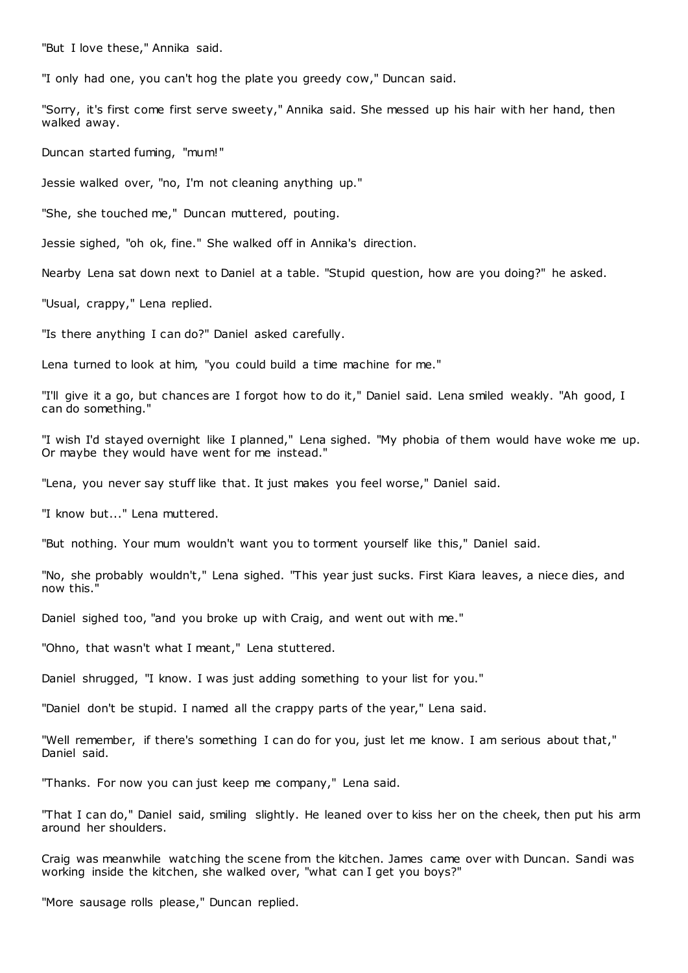"But I love these," Annika said.

"I only had one, you can't hog the plate you greedy cow," Duncan said.

"Sorry, it's first come first serve sweety," Annika said. She messed up his hair with her hand, then walked away.

Duncan started fuming, "mum!"

Jessie walked over, "no, I'm not cleaning anything up."

"She, she touched me," Duncan muttered, pouting.

Jessie sighed, "oh ok, fine." She walked off in Annika's direction.

Nearby Lena sat down next to Daniel at a table. "Stupid question, how are you doing?" he asked.

"Usual, crappy," Lena replied.

"Is there anything I can do?" Daniel asked carefully.

Lena turned to look at him, "you could build a time machine for me."

"I'll give it a go, but chances are I forgot how to do it," Daniel said. Lena smiled weakly. "Ah good, I can do something."

"I wish I'd stayed overnight like I planned," Lena sighed. "My phobia of them would have woke me up. Or maybe they would have went for me instead."

"Lena, you never say stuff like that. It just makes you feel worse," Daniel said.

"I know but..." Lena muttered.

"But nothing. Your mum wouldn't want you to torment yourself like this," Daniel said.

"No, she probably wouldn't," Lena sighed. "This year just sucks. First Kiara leaves, a niece dies, and now this."

Daniel sighed too, "and you broke up with Craig, and went out with me."

"Ohno, that wasn't what I meant," Lena stuttered.

Daniel shrugged, "I know. I was just adding something to your list for you."

"Daniel don't be stupid. I named all the crappy parts of the year," Lena said.

"Well remember, if there's something I can do for you, just let me know. I am serious about that," Daniel said.

"Thanks. For now you can just keep me company," Lena said.

"That I can do," Daniel said, smiling slightly. He leaned over to kiss her on the cheek, then put his arm around her shoulders.

Craig was meanwhile watching the scene from the kitchen. James came over with Duncan. Sandi was working inside the kitchen, she walked over, "what can I get you boys?"

"More sausage rolls please," Duncan replied.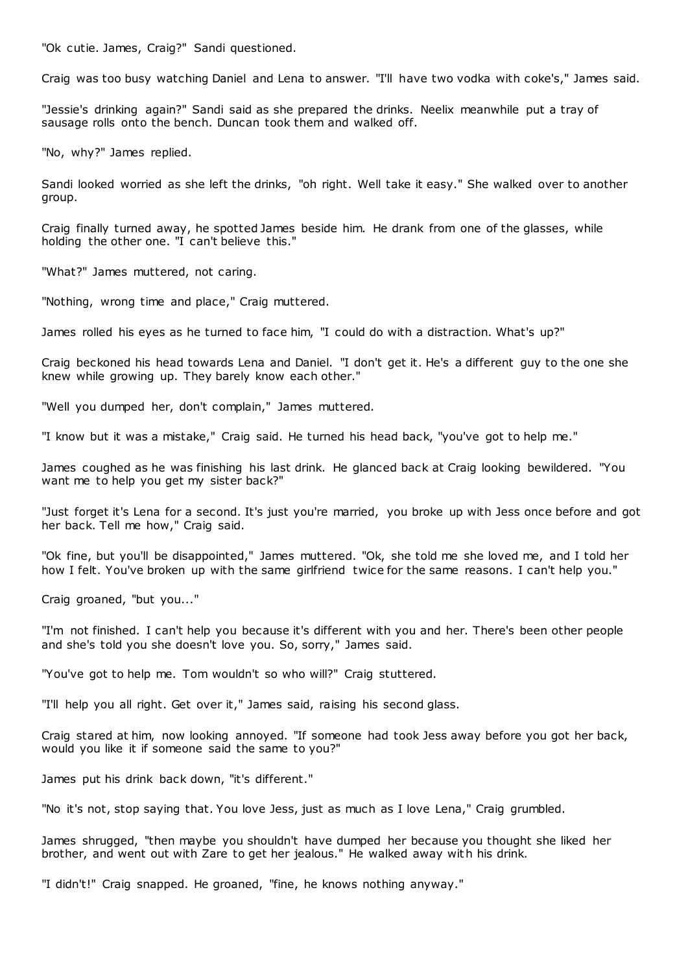"Ok cutie. James, Craig?" Sandi questioned.

Craig was too busy watching Daniel and Lena to answer. "I'll have two vodka with coke's," James said.

"Jessie's drinking again?" Sandi said as she prepared the drinks. Neelix meanwhile put a tray of sausage rolls onto the bench. Duncan took them and walked off.

"No, why?" James replied.

Sandi looked worried as she left the drinks, "oh right. Well take it easy." She walked over to another group.

Craig finally turned away, he spotted James beside him. He drank from one of the glasses, while holding the other one. "I can't believe this."

"What?" James muttered, not caring.

"Nothing, wrong time and place," Craig muttered.

James rolled his eyes as he turned to face him, "I could do with a distraction. What's up?"

Craig beckoned his head towards Lena and Daniel. "I don't get it. He's a different guy to the one she knew while growing up. They barely know each other."

"Well you dumped her, don't complain," James muttered.

"I know but it was a mistake," Craig said. He turned his head back, "you've got to help me."

James coughed as he was finishing his last drink. He glanced back at Craig looking bewildered. "You want me to help you get my sister back?"

"Just forget it's Lena for a second. It's just you're married, you broke up with Jess once before and got her back. Tell me how," Craig said.

"Ok fine, but you'll be disappointed," James muttered. "Ok, she told me she loved me, and I told her how I felt. You've broken up with the same girlfriend twice for the same reasons. I can't help you."

Craig groaned, "but you..."

"I'm not finished. I can't help you because it's different with you and her. There's been other people and she's told you she doesn't love you. So, sorry," James said.

"You've got to help me. Tom wouldn't so who will?" Craig stuttered.

"I'll help you all right. Get over it," James said, raising his second glass.

Craig stared at him, now looking annoyed. "If someone had took Jess away before you got her back, would you like it if someone said the same to you?"

James put his drink back down, "it's different."

"No it's not, stop saying that. You love Jess, just as much as I love Lena," Craig grumbled.

James shrugged, "then maybe you shouldn't have dumped her because you thought she liked her brother, and went out with Zare to get her jealous." He walked away wit h his drink.

"I didn't!" Craig snapped. He groaned, "fine, he knows nothing anyway."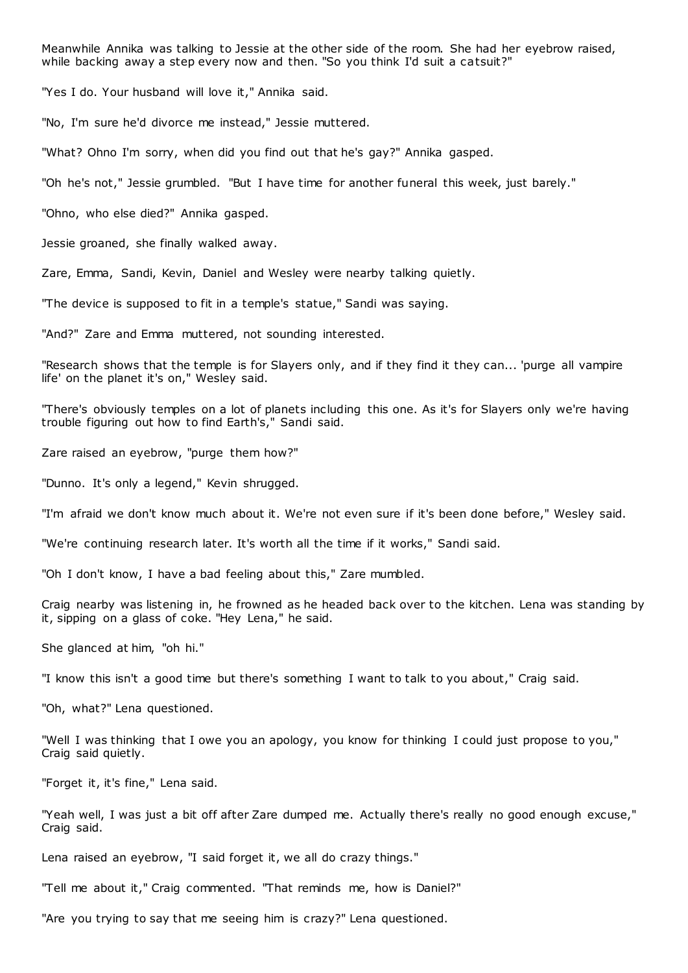Meanwhile Annika was talking to Jessie at the other side of the room. She had her eyebrow raised, while backing away a step every now and then. "So you think I'd suit a catsuit?"

"Yes I do. Your husband will love it," Annika said.

"No, I'm sure he'd divorce me instead," Jessie muttered.

"What? Ohno I'm sorry, when did you find out that he's gay?" Annika gasped.

"Oh he's not," Jessie grumbled. "But I have time for another funeral this week, just barely."

"Ohno, who else died?" Annika gasped.

Jessie groaned, she finally walked away.

Zare, Emma, Sandi, Kevin, Daniel and Wesley were nearby talking quietly.

"The device is supposed to fit in a temple's statue," Sandi was saying.

"And?" Zare and Emma muttered, not sounding interested.

"Research shows that the temple is for Slayers only, and if they find it they can... 'purge all vampire life' on the planet it's on," Wesley said.

"There's obviously temples on a lot of planets including this one. As it's for Slayers only we're having trouble figuring out how to find Earth's," Sandi said.

Zare raised an eyebrow, "purge them how?"

"Dunno. It's only a legend," Kevin shrugged.

"I'm afraid we don't know much about it. We're not even sure if it's been done before," Wesley said.

"We're continuing research later. It's worth all the time if it works," Sandi said.

"Oh I don't know, I have a bad feeling about this," Zare mumbled.

Craig nearby was listening in, he frowned as he headed back over to the kitchen. Lena was standing by it, sipping on a glass of coke. "Hey Lena," he said.

She glanced at him, "oh hi."

"I know this isn't a good time but there's something I want to talk to you about," Craig said.

"Oh, what?" Lena questioned.

"Well I was thinking that I owe you an apology, you know for thinking I could just propose to you," Craig said quietly.

"Forget it, it's fine," Lena said.

"Yeah well, I was just a bit off after Zare dumped me. Actually there's really no good enough excuse," Craig said.

Lena raised an eyebrow, "I said forget it, we all do crazy things."

"Tell me about it," Craig commented. "That reminds me, how is Daniel?"

"Are you trying to say that me seeing him is crazy?" Lena questioned.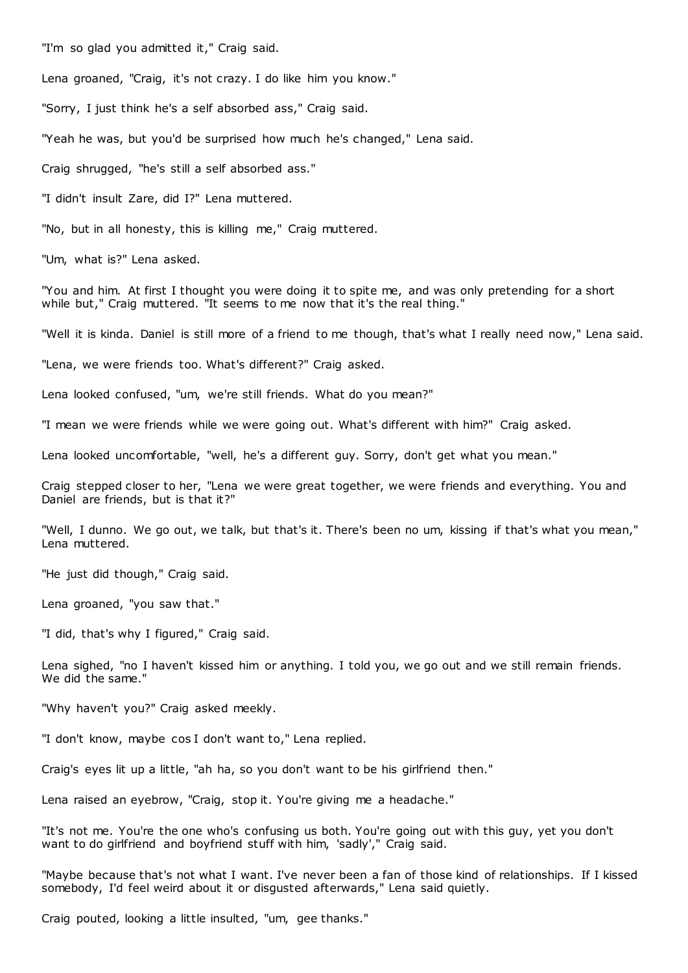"I'm so glad you admitted it," Craig said.

Lena groaned, "Craig, it's not crazy. I do like him you know."

"Sorry, I just think he's a self absorbed ass," Craig said.

"Yeah he was, but you'd be surprised how much he's changed," Lena said.

Craig shrugged, "he's still a self absorbed ass."

"I didn't insult Zare, did I?" Lena muttered.

"No, but in all honesty, this is killing me," Craig muttered.

"Um, what is?" Lena asked.

"You and him. At first I thought you were doing it to spite me, and was only pretending for a short while but," Craig muttered. "It seems to me now that it's the real thing."

"Well it is kinda. Daniel is still more of a friend to me though, that's what I really need now," Lena said.

"Lena, we were friends too. What's different?" Craig asked.

Lena looked confused, "um, we're still friends. What do you mean?"

"I mean we were friends while we were going out. What's different with him?" Craig asked.

Lena looked uncomfortable, "well, he's a different guy. Sorry, don't get what you mean."

Craig stepped closer to her, "Lena we were great together, we were friends and everything. You and Daniel are friends, but is that it?"

"Well, I dunno. We go out, we talk, but that's it. There's been no um, kissing if that's what you mean," Lena muttered.

"He just did though," Craig said.

Lena groaned, "you saw that."

"I did, that's why I figured," Craig said.

Lena sighed, "no I haven't kissed him or anything. I told you, we go out and we still remain friends. We did the same."

"Why haven't you?" Craig asked meekly.

"I don't know, maybe cos I don't want to," Lena replied.

Craig's eyes lit up a little, "ah ha, so you don't want to be his girlfriend then."

Lena raised an eyebrow, "Craig, stop it. You're giving me a headache."

"It's not me. You're the one who's confusing us both. You're going out with this guy, yet you don't want to do girlfriend and boyfriend stuff with him, 'sadly'," Craig said.

"Maybe because that's not what I want. I've never been a fan of those kind of relationships. If I kissed somebody, I'd feel weird about it or disgusted afterwards," Lena said quietly.

Craig pouted, looking a little insulted, "um, gee thanks."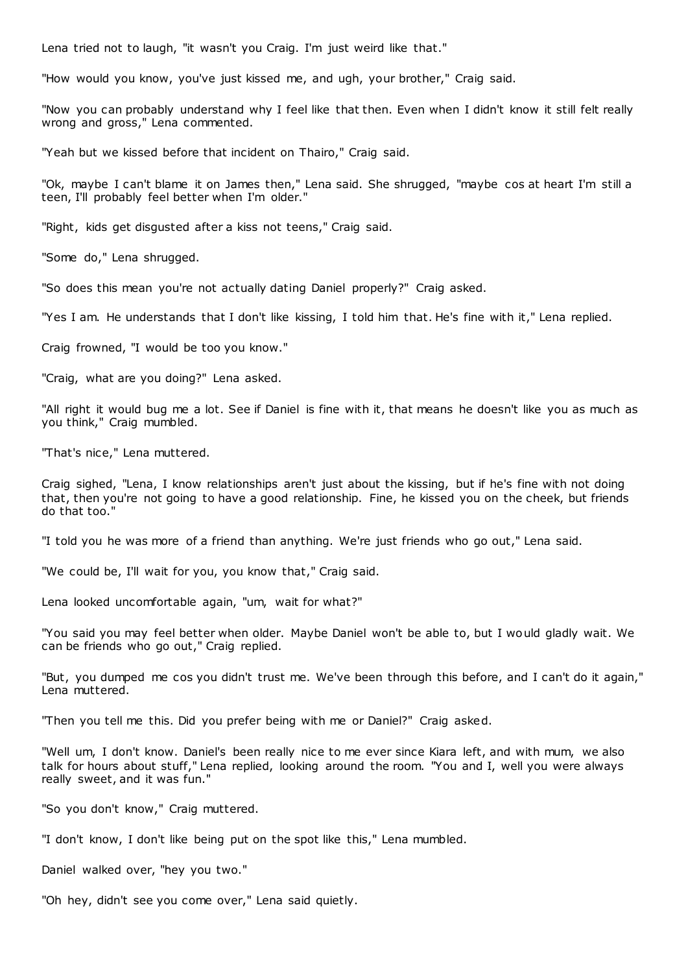Lena tried not to laugh, "it wasn't you Craig. I'm just weird like that."

"How would you know, you've just kissed me, and ugh, your brother," Craig said.

"Now you can probably understand why I feel like that then. Even when I didn't know it still felt really wrong and gross," Lena commented.

"Yeah but we kissed before that incident on Thairo," Craig said.

"Ok, maybe I can't blame it on James then," Lena said. She shrugged, "maybe cos at heart I'm still a teen, I'll probably feel better when I'm older."

"Right, kids get disgusted after a kiss not teens," Craig said.

"Some do," Lena shrugged.

"So does this mean you're not actually dating Daniel properly?" Craig asked.

"Yes I am. He understands that I don't like kissing, I told him that. He's fine with it," Lena replied.

Craig frowned, "I would be too you know."

"Craig, what are you doing?" Lena asked.

"All right it would bug me a lot. See if Daniel is fine with it, that means he doesn't like you as much as you think," Craig mumbled.

"That's nice," Lena muttered.

Craig sighed, "Lena, I know relationships aren't just about the kissing, but if he's fine with not doing that, then you're not going to have a good relationship. Fine, he kissed you on the cheek, but friends do that too."

"I told you he was more of a friend than anything. We're just friends who go out," Lena said.

"We could be, I'll wait for you, you know that," Craig said.

Lena looked uncomfortable again, "um, wait for what?"

"You said you may feel better when older. Maybe Daniel won't be able to, but I would gladly wait. We can be friends who go out," Craig replied.

"But, you dumped me cos you didn't trust me. We've been through this before, and I can't do it again," Lena muttered.

"Then you tell me this. Did you prefer being with me or Daniel?" Craig asked.

"Well um, I don't know. Daniel's been really nice to me ever since Kiara left, and with mum, we also talk for hours about stuff," Lena replied, looking around the room. "You and I, well you were always really sweet, and it was fun."

"So you don't know," Craig muttered.

"I don't know, I don't like being put on the spot like this," Lena mumbled.

Daniel walked over, "hey you two."

"Oh hey, didn't see you come over," Lena said quietly.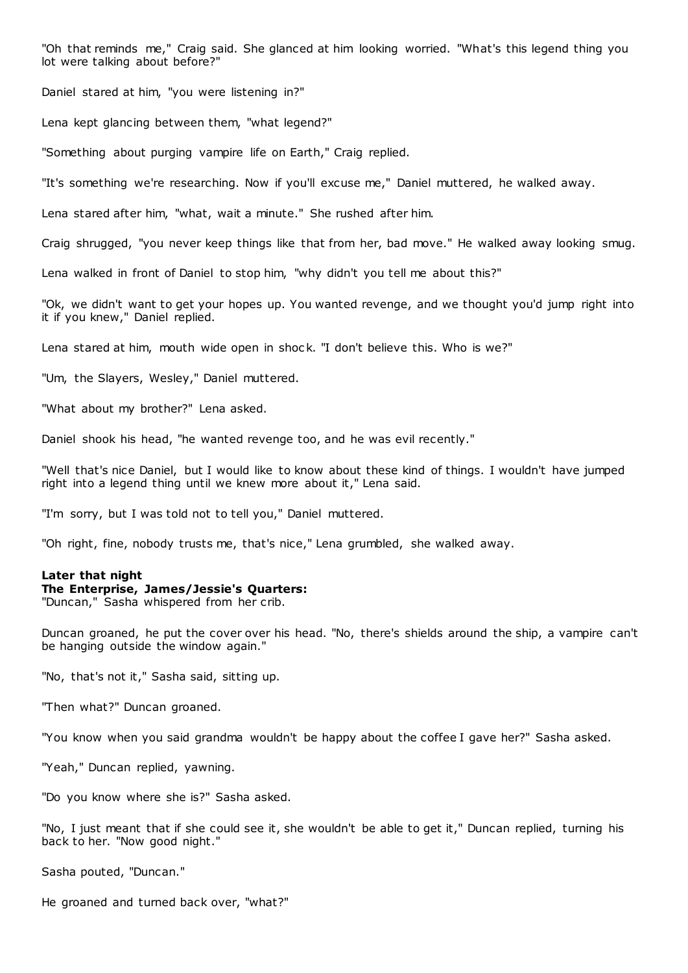"Oh that reminds me," Craig said. She glanced at him looking worried. "What's this legend thing you lot were talking about before?"

Daniel stared at him, "you were listening in?"

Lena kept glancing between them, "what legend?"

"Something about purging vampire life on Earth," Craig replied.

"It's something we're researching. Now if you'll excuse me," Daniel muttered, he walked away.

Lena stared after him, "what, wait a minute." She rushed after him.

Craig shrugged, "you never keep things like that from her, bad move." He walked away looking smug.

Lena walked in front of Daniel to stop him, "why didn't you tell me about this?"

"Ok, we didn't want to get your hopes up. You wanted revenge, and we thought you'd jump right into it if you knew," Daniel replied.

Lena stared at him, mouth wide open in shock. "I don't believe this. Who is we?"

"Um, the Slayers, Wesley," Daniel muttered.

"What about my brother?" Lena asked.

Daniel shook his head, "he wanted revenge too, and he was evil recently."

"Well that's nice Daniel, but I would like to know about these kind of things. I wouldn't have jumped right into a legend thing until we knew more about it," Lena said.

"I'm sorry, but I was told not to tell you," Daniel muttered.

"Oh right, fine, nobody trusts me, that's nice," Lena grumbled, she walked away.

## **Later that night**

# **The Enterprise, James/Jessie's Quarters:**

"Duncan," Sasha whispered from her crib.

Duncan groaned, he put the cover over his head. "No, there's shields around the ship, a vampire can't be hanging outside the window again."

"No, that's not it," Sasha said, sitting up.

"Then what?" Duncan groaned.

"You know when you said grandma wouldn't be happy about the coffee I gave her?" Sasha asked.

"Yeah," Duncan replied, yawning.

"Do you know where she is?" Sasha asked.

"No, I just meant that if she could see it, she wouldn't be able to get it," Duncan replied, turning his back to her. "Now good night."

Sasha pouted, "Duncan."

He groaned and turned back over, "what?"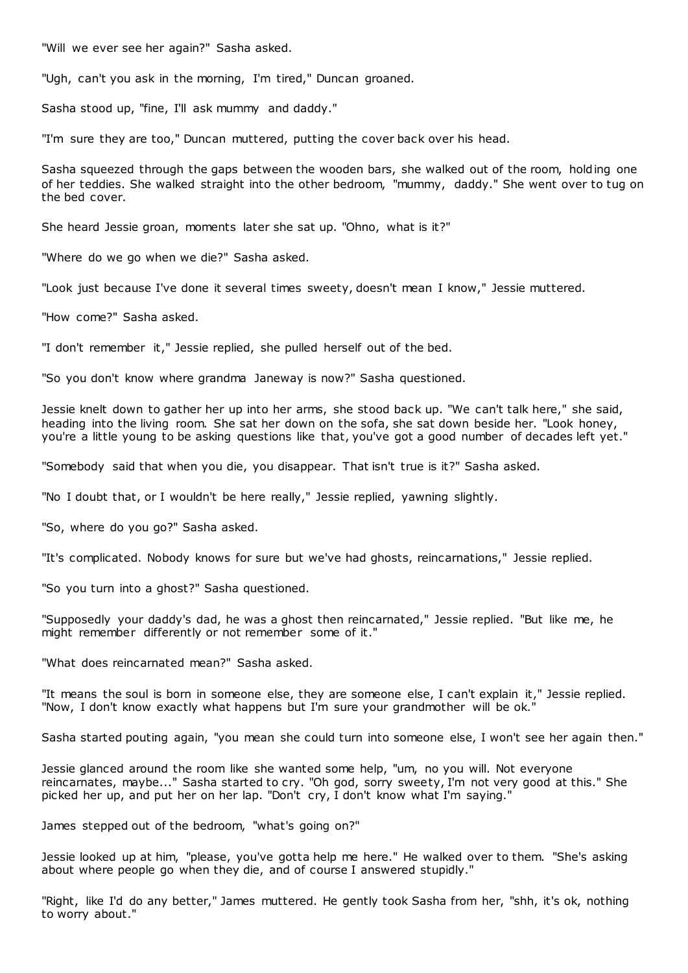"Will we ever see her again?" Sasha asked.

"Ugh, can't you ask in the morning, I'm tired," Duncan groaned.

Sasha stood up, "fine, I'll ask mummy and daddy."

"I'm sure they are too," Duncan muttered, putting the cover back over his head.

Sasha squeezed through the gaps between the wooden bars, she walked out of the room, holding one of her teddies. She walked straight into the other bedroom, "mummy, daddy." She went over to tug on the bed cover.

She heard Jessie groan, moments later she sat up. "Ohno, what is it?"

"Where do we go when we die?" Sasha asked.

"Look just because I've done it several times sweety, doesn't mean I know," Jessie muttered.

"How come?" Sasha asked.

"I don't remember it," Jessie replied, she pulled herself out of the bed.

"So you don't know where grandma Janeway is now?" Sasha questioned.

Jessie knelt down to gather her up into her arms, she stood back up. "We can't talk here," she said, heading into the living room. She sat her down on the sofa, she sat down beside her. "Look honey, you're a little young to be asking questions like that, you've got a good number of decades left yet."

"Somebody said that when you die, you disappear. That isn't true is it?" Sasha asked.

"No I doubt that, or I wouldn't be here really," Jessie replied, yawning slightly.

"So, where do you go?" Sasha asked.

"It's complicated. Nobody knows for sure but we've had ghosts, reincarnations," Jessie replied.

"So you turn into a ghost?" Sasha questioned.

"Supposedly your daddy's dad, he was a ghost then reincarnated," Jessie replied. "But like me, he might remember differently or not remember some of it."

"What does reincarnated mean?" Sasha asked.

"It means the soul is born in someone else, they are someone else, I can't explain it," Jessie replied. "Now, I don't know exactly what happens but I'm sure your grandmother will be ok."

Sasha started pouting again, "you mean she could turn into someone else, I won't see her again then."

Jessie glanced around the room like she wanted some help, "um, no you will. Not everyone reincarnates, maybe..." Sasha started to cry. "Oh god, sorry sweety, I'm not very good at this." She picked her up, and put her on her lap. "Don't cry, I don't know what I'm saying."

James stepped out of the bedroom, "what's going on?"

Jessie looked up at him, "please, you've gotta help me here." He walked over to them. "She's asking about where people go when they die, and of course I answered stupidly."

"Right, like I'd do any better," James muttered. He gently took Sasha from her, "shh, it's ok, nothing to worry about."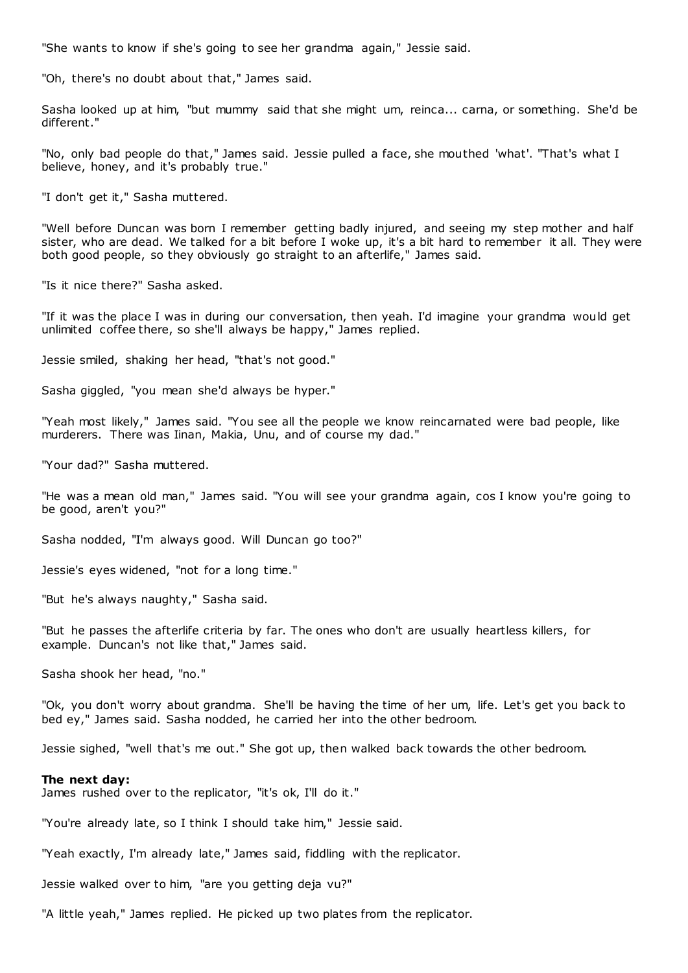"She wants to know if she's going to see her grandma again," Jessie said.

"Oh, there's no doubt about that," James said.

Sasha looked up at him, "but mummy said that she might um, reinca... carna, or something. She'd be different."

"No, only bad people do that," James said. Jessie pulled a face, she mouthed 'what'. "That's what I believe, honey, and it's probably true."

"I don't get it," Sasha muttered.

"Well before Duncan was born I remember getting badly injured, and seeing my step mother and half sister, who are dead. We talked for a bit before I woke up, it's a bit hard to remember it all. They were both good people, so they obviously go straight to an afterlife," James said.

"Is it nice there?" Sasha asked.

"If it was the place I was in during our conversation, then yeah. I'd imagine your grandma would get unlimited coffee there, so she'll always be happy," James replied.

Jessie smiled, shaking her head, "that's not good."

Sasha giggled, "you mean she'd always be hyper."

"Yeah most likely," James said. "You see all the people we know reincarnated were bad people, like murderers. There was Iinan, Makia, Unu, and of course my dad."

"Your dad?" Sasha muttered.

"He was a mean old man," James said. "You will see your grandma again, cos I know you're going to be good, aren't you?"

Sasha nodded, "I'm always good. Will Duncan go too?"

Jessie's eyes widened, "not for a long time."

"But he's always naughty," Sasha said.

"But he passes the afterlife criteria by far. The ones who don't are usually heartless killers, for example. Duncan's not like that," James said.

Sasha shook her head, "no."

"Ok, you don't worry about grandma. She'll be having the time of her um, life. Let's get you back to bed ey," James said. Sasha nodded, he carried her into the other bedroom.

Jessie sighed, "well that's me out." She got up, then walked back towards the other bedroom.

#### **The next day:**

James rushed over to the replicator, "it's ok, I'll do it."

"You're already late, so I think I should take him," Jessie said.

"Yeah exactly, I'm already late," James said, fiddling with the replicator.

Jessie walked over to him, "are you getting deja vu?"

"A little yeah," James replied. He picked up two plates from the replicator.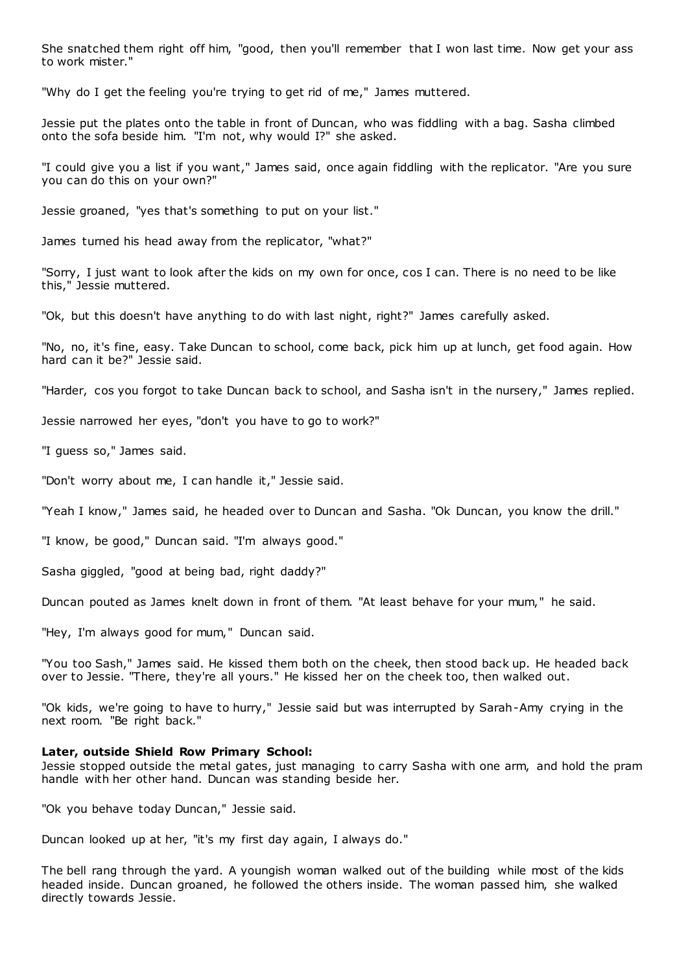She snatched them right off him, "good, then you'll remember that I won last time. Now get your ass to work mister."

"Why do I get the feeling you're trying to get rid of me," James muttered.

Jessie put the plates onto the table in front of Duncan, who was fiddling with a bag. Sasha climbed onto the sofa beside him. "I'm not, why would I?" she asked.

"I could give you a list if you want," James said, once again fiddling with the replicator. "Are you sure you can do this on your own?"

Jessie groaned, "yes that's something to put on your list."

James turned his head away from the replicator, "what?"

"Sorry, I just want to look after the kids on my own for once, cos I can. There is no need to be like this," Jessie muttered.

"Ok, but this doesn't have anything to do with last night, right?" James carefully asked.

"No, no, it's fine, easy. Take Duncan to school, come back, pick him up at lunch, get food again. How hard can it be?" Jessie said.

"Harder, cos you forgot to take Duncan back to school, and Sasha isn't in the nursery," James replied.

Jessie narrowed her eyes, "don't you have to go to work?"

"I guess so," James said.

"Don't worry about me, I can handle it," Jessie said.

"Yeah I know," James said, he headed over to Duncan and Sasha. "Ok Duncan, you know the drill."

"I know, be good," Duncan said. "I'm always good."

Sasha giggled, "good at being bad, right daddy?"

Duncan pouted as James knelt down in front of them. "At least behave for your mum," he said.

"Hey, I'm always good for mum," Duncan said.

"You too Sash," James said. He kissed them both on the cheek, then stood back up. He headed back over to Jessie. "There, they're all yours." He kissed her on the cheek too, then walked out.

"Ok kids, we're going to have to hurry," Jessie said but was interrupted by Sarah-Amy crying in the next room. "Be right back."

## **Later, outside Shield Row Primary School:**

Jessie stopped outside the metal gates, just managing to carry Sasha with one arm, and hold the pram handle with her other hand. Duncan was standing beside her.

"Ok you behave today Duncan," Jessie said.

Duncan looked up at her, "it's my first day again, I always do."

The bell rang through the yard. A youngish woman walked out of the building while most of the kids headed inside. Duncan groaned, he followed the others inside. The woman passed him, she walked directly towards Jessie.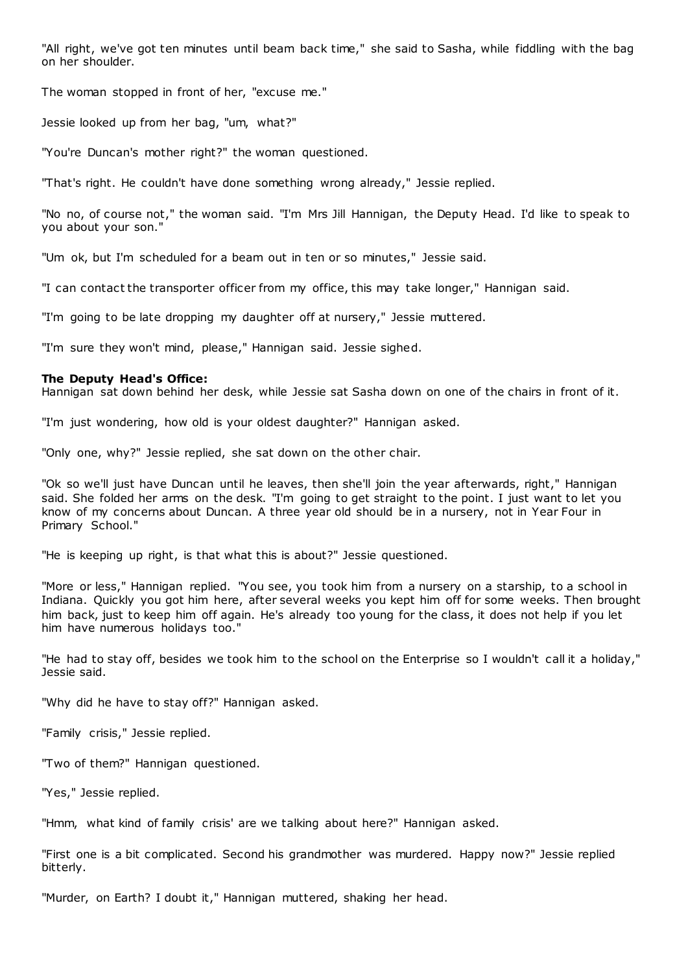"All right, we've got ten minutes until beam back time," she said to Sasha, while fiddling with the bag on her shoulder.

The woman stopped in front of her, "excuse me."

Jessie looked up from her bag, "um, what?"

"You're Duncan's mother right?" the woman questioned.

"That's right. He couldn't have done something wrong already," Jessie replied.

"No no, of course not," the woman said. "I'm Mrs Jill Hannigan, the Deputy Head. I'd like to speak to you about your son."

"Um ok, but I'm scheduled for a beam out in ten or so minutes," Jessie said.

"I can contact the transporter officer from my office, this may take longer," Hannigan said.

"I'm going to be late dropping my daughter off at nursery," Jessie muttered.

"I'm sure they won't mind, please," Hannigan said. Jessie sighed.

# **The Deputy Head's Office:**

Hannigan sat down behind her desk, while Jessie sat Sasha down on one of the chairs in front of it.

"I'm just wondering, how old is your oldest daughter?" Hannigan asked.

"Only one, why?" Jessie replied, she sat down on the other chair.

"Ok so we'll just have Duncan until he leaves, then she'll join the year afterwards, right," Hannigan said. She folded her arms on the desk. "I'm going to get straight to the point. I just want to let you know of my concerns about Duncan. A three year old should be in a nursery, not in Year Four in Primary School."

"He is keeping up right, is that what this is about?" Jessie questioned.

"More or less," Hannigan replied. "You see, you took him from a nursery on a starship, to a school in Indiana. Quickly you got him here, after several weeks you kept him off for some weeks. Then brought him back, just to keep him off again. He's already too young for the class, it does not help if you let him have numerous holidays too."

"He had to stay off, besides we took him to the school on the Enterprise so I wouldn't call it a holiday," Jessie said.

"Why did he have to stay off?" Hannigan asked.

"Family crisis," Jessie replied.

"Two of them?" Hannigan questioned.

"Yes," Jessie replied.

"Hmm, what kind of family crisis' are we talking about here?" Hannigan asked.

"First one is a bit complicated. Second his grandmother was murdered. Happy now?" Jessie replied bitterly.

"Murder, on Earth? I doubt it," Hannigan muttered, shaking her head.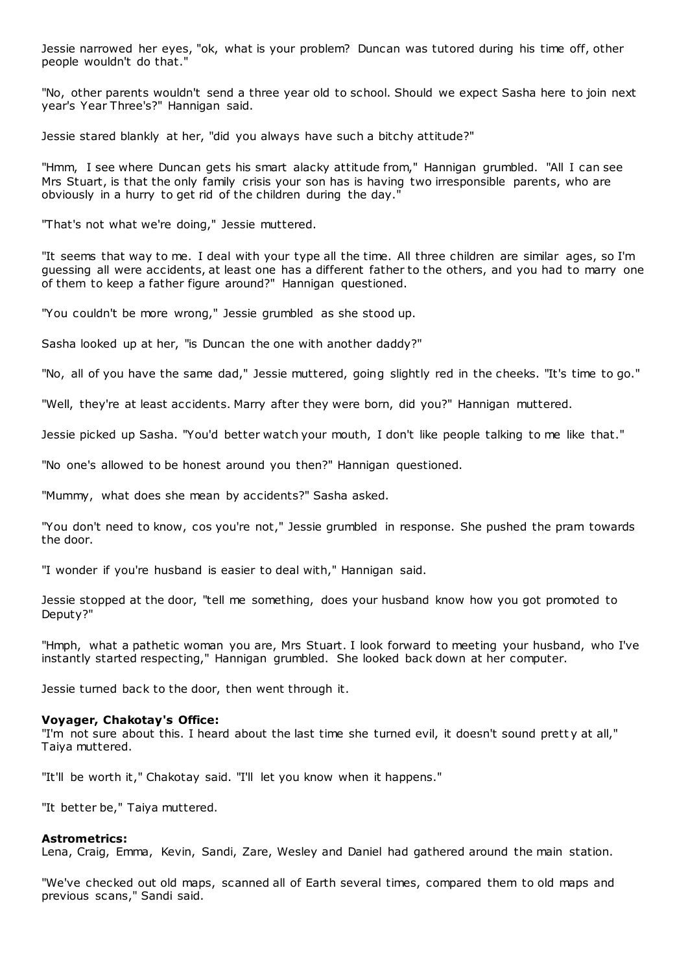Jessie narrowed her eyes, "ok, what is your problem? Duncan was tutored during his time off, other people wouldn't do that."

"No, other parents wouldn't send a three year old to school. Should we expect Sasha here to join next year's Year Three's?" Hannigan said.

Jessie stared blankly at her, "did you always have such a bitchy attitude?"

"Hmm, I see where Duncan gets his smart alacky attitude from," Hannigan grumbled. "All I can see Mrs Stuart, is that the only family crisis your son has is having two irresponsible parents, who are obviously in a hurry to get rid of the children during the day."

"That's not what we're doing," Jessie muttered.

"It seems that way to me. I deal with your type all the time. All three children are similar ages, so I'm guessing all were accidents, at least one has a different father to the others, and you had to marry one of them to keep a father figure around?" Hannigan questioned.

"You couldn't be more wrong," Jessie grumbled as she stood up.

Sasha looked up at her, "is Duncan the one with another daddy?"

"No, all of you have the same dad," Jessie muttered, going slightly red in the cheeks. "It's time to go."

"Well, they're at least accidents. Marry after they were born, did you?" Hannigan muttered.

Jessie picked up Sasha. "You'd better watch your mouth, I don't like people talking to me like that."

"No one's allowed to be honest around you then?" Hannigan questioned.

"Mummy, what does she mean by accidents?" Sasha asked.

"You don't need to know, cos you're not," Jessie grumbled in response. She pushed the pram towards the door.

"I wonder if you're husband is easier to deal with," Hannigan said.

Jessie stopped at the door, "tell me something, does your husband know how you got promoted to Deputy?"

"Hmph, what a pathetic woman you are, Mrs Stuart. I look forward to meeting your husband, who I've instantly started respecting," Hannigan grumbled. She looked back down at her computer.

Jessie turned back to the door, then went through it.

#### **Voyager, Chakotay's Office:**

"I'm not sure about this. I heard about the last time she turned evil, it doesn't sound prett y at all," Taiya muttered.

"It'll be worth it," Chakotay said. "I'll let you know when it happens."

"It better be," Taiya muttered.

#### **Astrometrics:**

Lena, Craig, Emma, Kevin, Sandi, Zare, Wesley and Daniel had gathered around the main station.

"We've checked out old maps, scanned all of Earth several times, compared them to old maps and previous scans," Sandi said.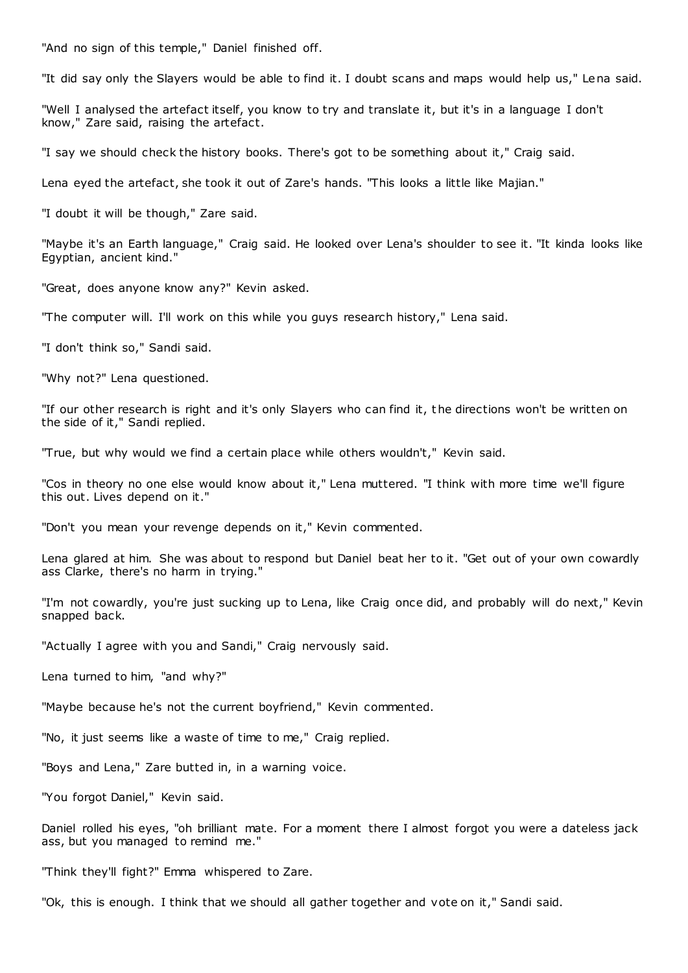"And no sign of this temple," Daniel finished off.

"It did say only the Slayers would be able to find it. I doubt scans and maps would help us," Lena said.

"Well I analysed the artefact itself, you know to try and translate it, but it's in a language I don't know," Zare said, raising the artefact.

"I say we should check the history books. There's got to be something about it," Craig said.

Lena eyed the artefact, she took it out of Zare's hands. "This looks a little like Majian."

"I doubt it will be though," Zare said.

"Maybe it's an Earth language," Craig said. He looked over Lena's shoulder to see it. "It kinda looks like Egyptian, ancient kind."

"Great, does anyone know any?" Kevin asked.

"The computer will. I'll work on this while you guys research history," Lena said.

"I don't think so," Sandi said.

"Why not?" Lena questioned.

"If our other research is right and it's only Slayers who can find it, the directions won't be written on the side of it," Sandi replied.

"True, but why would we find a certain place while others wouldn't," Kevin said.

"Cos in theory no one else would know about it," Lena muttered. "I think with more time we'll figure this out. Lives depend on it."

"Don't you mean your revenge depends on it," Kevin commented.

Lena glared at him. She was about to respond but Daniel beat her to it. "Get out of your own cowardly ass Clarke, there's no harm in trying."

"I'm not cowardly, you're just sucking up to Lena, like Craig once did, and probably will do next," Kevin snapped back.

"Actually I agree with you and Sandi," Craig nervously said.

Lena turned to him, "and why?"

"Maybe because he's not the current boyfriend," Kevin commented.

"No, it just seems like a waste of time to me," Craig replied.

"Boys and Lena," Zare butted in, in a warning voice.

"You forgot Daniel," Kevin said.

Daniel rolled his eyes, "oh brilliant mate. For a moment there I almost forgot you were a dateless jack ass, but you managed to remind me."

"Think they'll fight?" Emma whispered to Zare.

"Ok, this is enough. I think that we should all gather together and vote on it," Sandi said.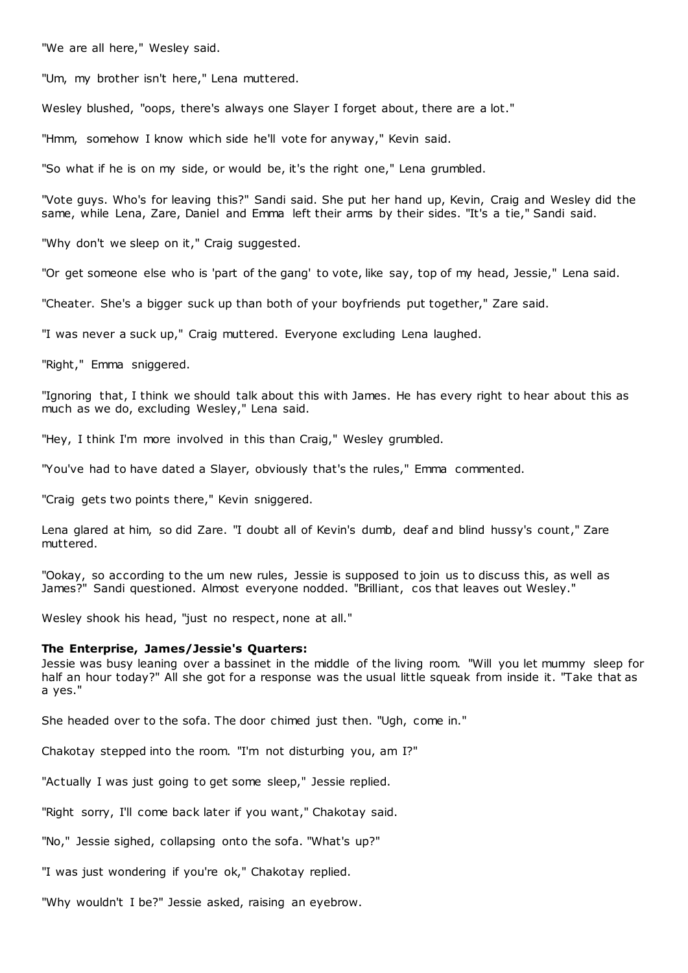"We are all here," Wesley said.

"Um, my brother isn't here," Lena muttered.

Wesley blushed, "oops, there's always one Slayer I forget about, there are a lot."

"Hmm, somehow I know which side he'll vote for anyway," Kevin said.

"So what if he is on my side, or would be, it's the right one," Lena grumbled.

"Vote guys. Who's for leaving this?" Sandi said. She put her hand up, Kevin, Craig and Wesley did the same, while Lena, Zare, Daniel and Emma left their arms by their sides. "It's a tie," Sandi said.

"Why don't we sleep on it," Craig suggested.

"Or get someone else who is 'part of the gang' to vote, like say, top of my head, Jessie," Lena said.

"Cheater. She's a bigger suck up than both of your boyfriends put together," Zare said.

"I was never a suck up," Craig muttered. Everyone excluding Lena laughed.

"Right," Emma sniggered.

"Ignoring that, I think we should talk about this with James. He has every right to hear about this as much as we do, excluding Wesley," Lena said.

"Hey, I think I'm more involved in this than Craig," Wesley grumbled.

"You've had to have dated a Slayer, obviously that's the rules," Emma commented.

"Craig gets two points there," Kevin sniggered.

Lena glared at him, so did Zare. "I doubt all of Kevin's dumb, deaf and blind hussy's count," Zare muttered.

"Ookay, so according to the um new rules, Jessie is supposed to join us to discuss this, as well as James?" Sandi questioned. Almost everyone nodded. "Brilliant, cos that leaves out Wesley."

Wesley shook his head, "just no respect, none at all."

# **The Enterprise, James/Jessie's Quarters:**

Jessie was busy leaning over a bassinet in the middle of the living room. "Will you let mummy sleep for half an hour today?" All she got for a response was the usual little squeak from inside it. "Take that as a yes."

She headed over to the sofa. The door chimed just then. "Ugh, come in."

Chakotay stepped into the room. "I'm not disturbing you, am I?"

"Actually I was just going to get some sleep," Jessie replied.

"Right sorry, I'll come back later if you want," Chakotay said.

"No," Jessie sighed, collapsing onto the sofa. "What's up?"

"I was just wondering if you're ok," Chakotay replied.

"Why wouldn't I be?" Jessie asked, raising an eyebrow.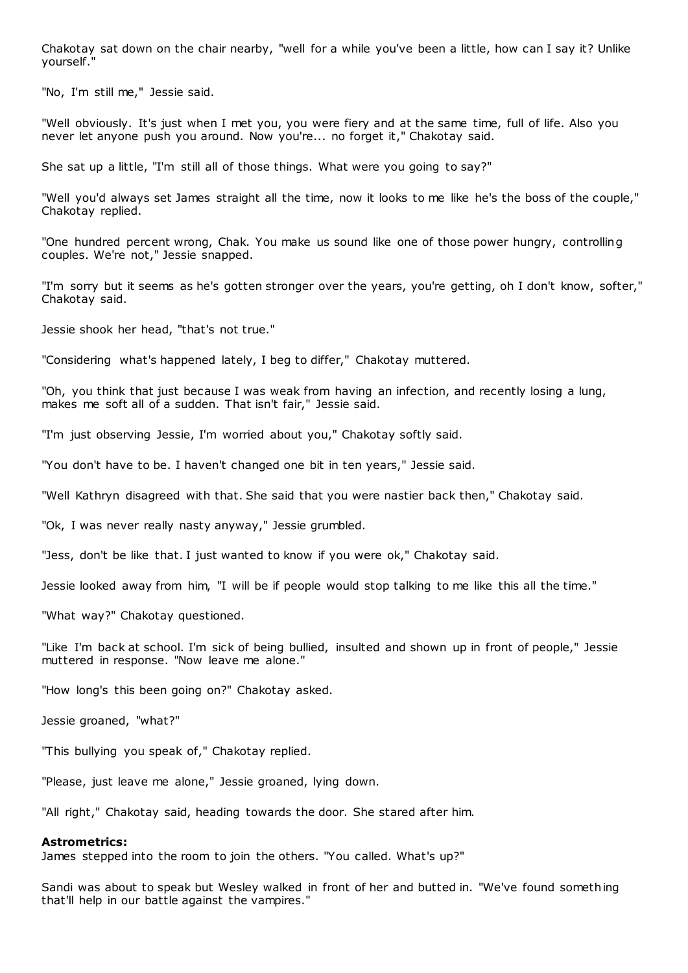Chakotay sat down on the chair nearby, "well for a while you've been a little, how can I say it? Unlike yourself."

"No, I'm still me," Jessie said.

"Well obviously. It's just when I met you, you were fiery and at the same time, full of life. Also you never let anyone push you around. Now you're... no forget it," Chakotay said.

She sat up a little, "I'm still all of those things. What were you going to say?"

"Well you'd always set James straight all the time, now it looks to me like he's the boss of the couple," Chakotay replied.

"One hundred percent wrong, Chak. You make us sound like one of those power hungry, controlling couples. We're not," Jessie snapped.

"I'm sorry but it seems as he's gotten stronger over the years, you're getting, oh I don't know, softer," Chakotay said.

Jessie shook her head, "that's not true."

"Considering what's happened lately, I beg to differ," Chakotay muttered.

"Oh, you think that just because I was weak from having an infection, and recently losing a lung, makes me soft all of a sudden. That isn't fair," Jessie said.

"I'm just observing Jessie, I'm worried about you," Chakotay softly said.

"You don't have to be. I haven't changed one bit in ten years," Jessie said.

"Well Kathryn disagreed with that. She said that you were nastier back then," Chakotay said.

"Ok, I was never really nasty anyway," Jessie grumbled.

"Jess, don't be like that. I just wanted to know if you were ok," Chakotay said.

Jessie looked away from him, "I will be if people would stop talking to me like this all the time."

"What way?" Chakotay questioned.

"Like I'm back at school. I'm sick of being bullied, insulted and shown up in front of people," Jessie muttered in response. "Now leave me alone."

"How long's this been going on?" Chakotay asked.

Jessie groaned, "what?"

"This bullying you speak of," Chakotay replied.

"Please, just leave me alone," Jessie groaned, lying down.

"All right," Chakotay said, heading towards the door. She stared after him.

#### **Astrometrics:**

James stepped into the room to join the others. "You called. What's up?"

Sandi was about to speak but Wesley walked in front of her and butted in. "We've found something that'll help in our battle against the vampires."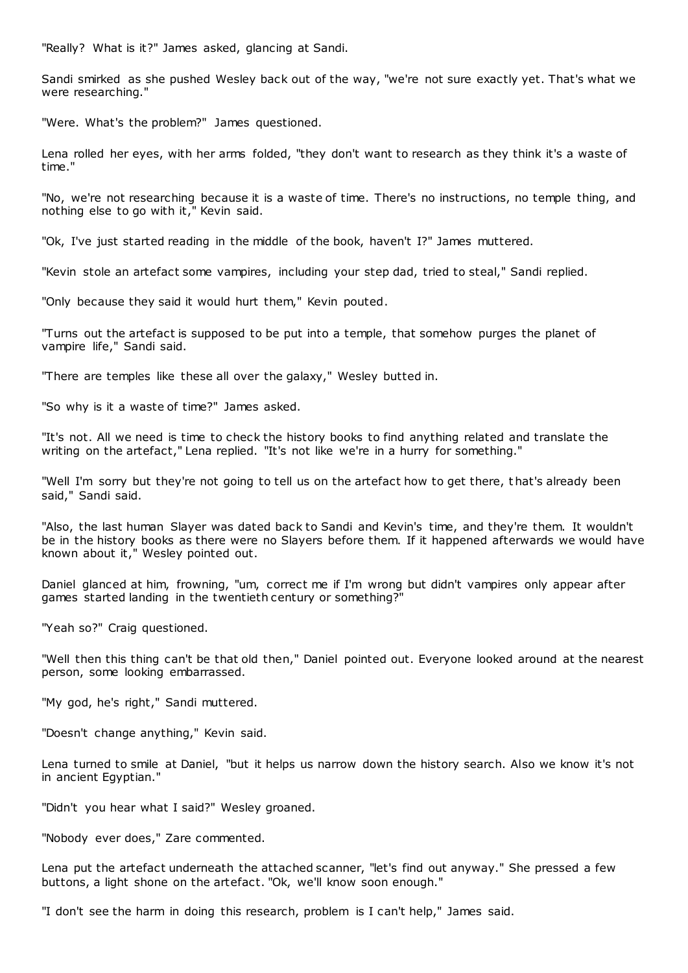"Really? What is it?" James asked, glancing at Sandi.

Sandi smirked as she pushed Wesley back out of the way, "we're not sure exactly yet. That's what we were researching."

"Were. What's the problem?" James questioned.

Lena rolled her eyes, with her arms folded, "they don't want to research as they think it's a waste of time."

"No, we're not researching because it is a waste of time. There's no instructions, no temple thing, and nothing else to go with it," Kevin said.

"Ok, I've just started reading in the middle of the book, haven't I?" James muttered.

"Kevin stole an artefact some vampires, including your step dad, tried to steal," Sandi replied.

"Only because they said it would hurt them," Kevin pouted.

"Turns out the artefact is supposed to be put into a temple, that somehow purges the planet of vampire life," Sandi said.

"There are temples like these all over the galaxy," Wesley butted in.

"So why is it a waste of time?" James asked.

"It's not. All we need is time to check the history books to find anything related and translate the writing on the artefact," Lena replied. "It's not like we're in a hurry for something."

"Well I'm sorry but they're not going to tell us on the artefact how to get there, t hat's already been said," Sandi said.

"Also, the last human Slayer was dated back to Sandi and Kevin's time, and they're them. It wouldn't be in the history books as there were no Slayers before them. If it happened afterwards we would have known about it," Wesley pointed out.

Daniel glanced at him, frowning, "um, correct me if I'm wrong but didn't vampires only appear after games started landing in the twentieth century or something?"

"Yeah so?" Craig questioned.

"Well then this thing can't be that old then," Daniel pointed out. Everyone looked around at the nearest person, some looking embarrassed.

"My god, he's right," Sandi muttered.

"Doesn't change anything," Kevin said.

Lena turned to smile at Daniel, "but it helps us narrow down the history search. Also we know it's not in ancient Egyptian."

"Didn't you hear what I said?" Wesley groaned.

"Nobody ever does," Zare commented.

Lena put the artefact underneath the attached scanner, "let's find out anyway." She pressed a few buttons, a light shone on the artefact. "Ok, we'll know soon enough."

"I don't see the harm in doing this research, problem is I can't help," James said.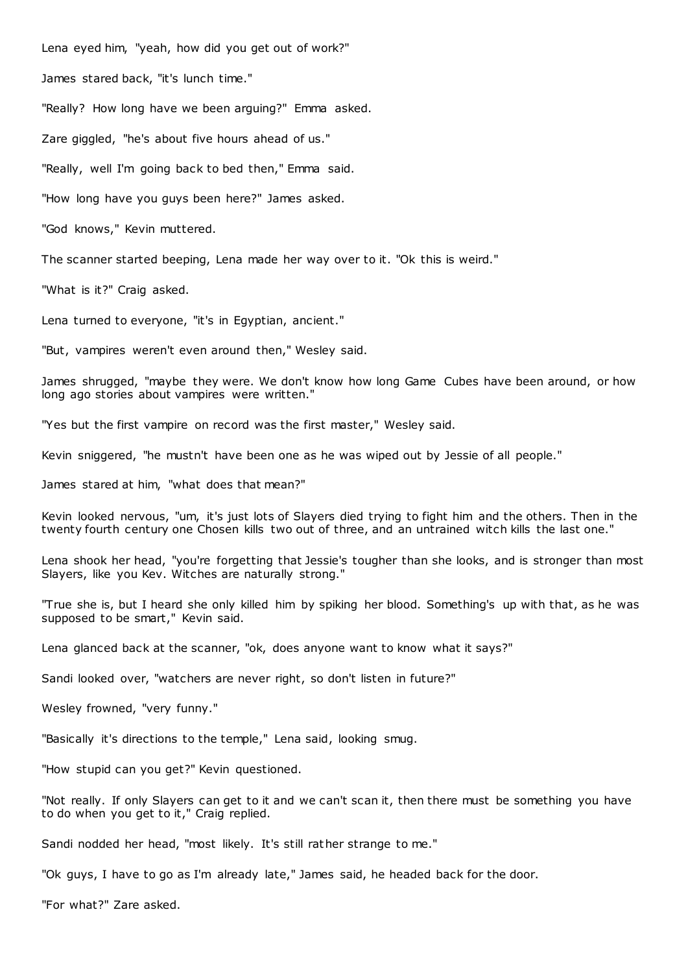Lena eyed him, "yeah, how did you get out of work?"

James stared back, "it's lunch time."

"Really? How long have we been arguing?" Emma asked.

Zare giggled, "he's about five hours ahead of us."

"Really, well I'm going back to bed then," Emma said.

"How long have you guys been here?" James asked.

"God knows," Kevin muttered.

The scanner started beeping, Lena made her way over to it. "Ok this is weird."

"What is it?" Craig asked.

Lena turned to everyone, "it's in Egyptian, ancient."

"But, vampires weren't even around then," Wesley said.

James shrugged, "maybe they were. We don't know how long Game Cubes have been around, or how long ago stories about vampires were written."

"Yes but the first vampire on record was the first master," Wesley said.

Kevin sniggered, "he mustn't have been one as he was wiped out by Jessie of all people."

James stared at him, "what does that mean?"

Kevin looked nervous, "um, it's just lots of Slayers died trying to fight him and the others. Then in the twenty fourth century one Chosen kills two out of three, and an untrained witch kills the last one."

Lena shook her head, "you're forgetting that Jessie's tougher than she looks, and is stronger than most Slayers, like you Kev. Witches are naturally strong."

"True she is, but I heard she only killed him by spiking her blood. Something's up with that, as he was supposed to be smart," Kevin said.

Lena glanced back at the scanner, "ok, does anyone want to know what it says?"

Sandi looked over, "watchers are never right, so don't listen in future?"

Wesley frowned, "very funny."

"Basically it's directions to the temple," Lena said, looking smug.

"How stupid can you get?" Kevin questioned.

"Not really. If only Slayers can get to it and we can't scan it, then there must be something you have to do when you get to it," Craig replied.

Sandi nodded her head, "most likely. It's still rather strange to me."

"Ok guys, I have to go as I'm already late," James said, he headed back for the door.

"For what?" Zare asked.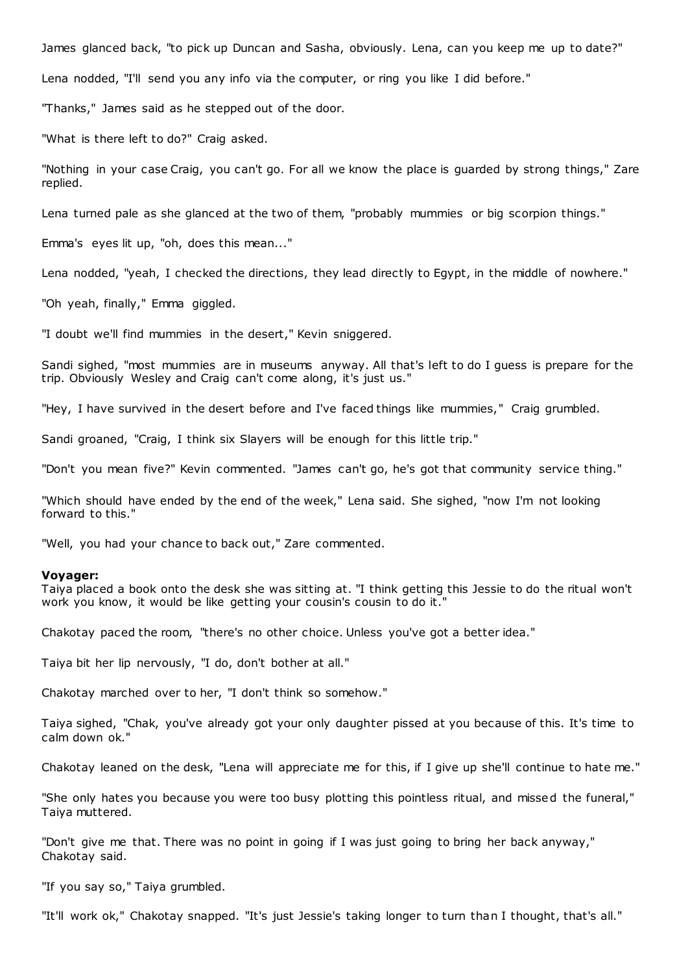James glanced back, "to pick up Duncan and Sasha, obviously. Lena, can you keep me up to date?"

Lena nodded, "I'll send you any info via the computer, or ring you like I did before."

"Thanks," James said as he stepped out of the door.

"What is there left to do?" Craig asked.

"Nothing in your case Craig, you can't go. For all we know the place is guarded by strong things," Zare replied.

Lena turned pale as she glanced at the two of them, "probably mummies or big scorpion things."

Emma's eyes lit up, "oh, does this mean..."

Lena nodded, "yeah, I checked the directions, they lead directly to Egypt, in the middle of nowhere."

"Oh yeah, finally," Emma giggled.

"I doubt we'll find mummies in the desert," Kevin sniggered.

Sandi sighed, "most mummies are in museums anyway. All that's left to do I guess is prepare for the trip. Obviously Wesley and Craig can't come along, it's just us."

"Hey, I have survived in the desert before and I've faced things like mummies," Craig grumbled.

Sandi groaned, "Craig, I think six Slayers will be enough for this little trip."

"Don't you mean five?" Kevin commented. "James can't go, he's got that community service thing."

"Which should have ended by the end of the week," Lena said. She sighed, "now I'm not looking forward to this."

"Well, you had your chance to back out," Zare commented.

#### **Voyager:**

Taiya placed a book onto the desk she was sitting at. "I think getting this Jessie to do the ritual won't work you know, it would be like getting your cousin's cousin to do it."

Chakotay paced the room, "there's no other choice. Unless you've got a better idea."

Taiya bit her lip nervously, "I do, don't bother at all."

Chakotay marched over to her, "I don't think so somehow."

Taiya sighed, "Chak, you've already got your only daughter pissed at you because of this. It's time to calm down ok."

Chakotay leaned on the desk, "Lena will appreciate me for this, if I give up she'll continue to hate me."

"She only hates you because you were too busy plotting this pointless ritual, and missed the funeral," Taiya muttered.

"Don't give me that. There was no point in going if I was just going to bring her back anyway," Chakotay said.

"If you say so," Taiya grumbled.

"It'll work ok," Chakotay snapped. "It's just Jessie's taking longer to turn than I thought, that's all."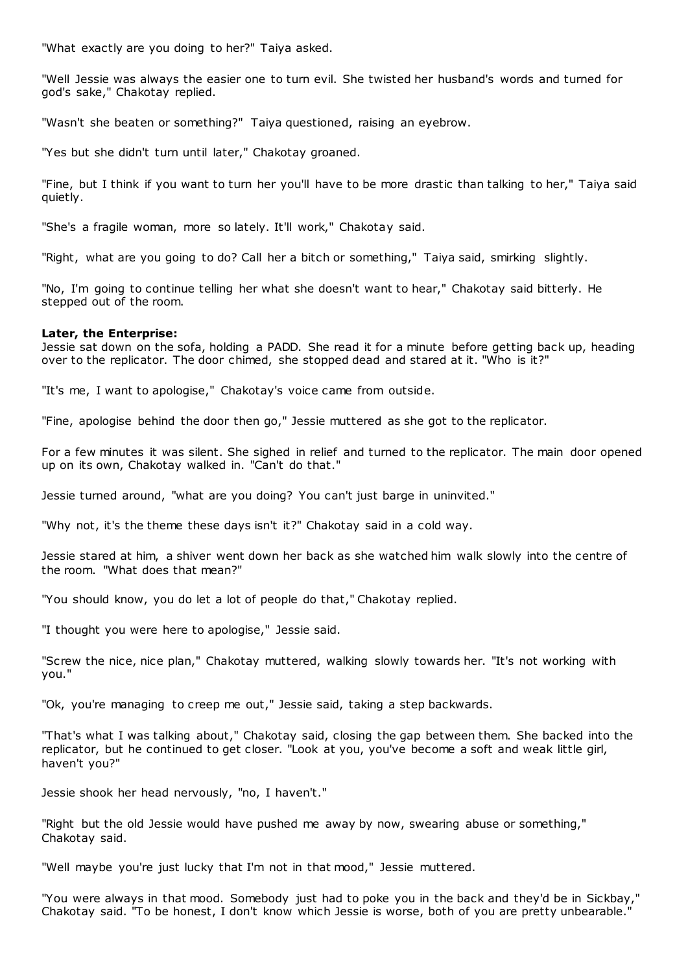"What exactly are you doing to her?" Taiya asked.

"Well Jessie was always the easier one to turn evil. She twisted her husband's words and turned for god's sake," Chakotay replied.

"Wasn't she beaten or something?" Taiya questioned, raising an eyebrow.

"Yes but she didn't turn until later," Chakotay groaned.

"Fine, but I think if you want to turn her you'll have to be more drastic than talking to her," Taiya said quietly.

"She's a fragile woman, more so lately. It'll work," Chakotay said.

"Right, what are you going to do? Call her a bitch or something," Taiya said, smirking slightly.

"No, I'm going to continue telling her what she doesn't want to hear," Chakotay said bitterly. He stepped out of the room.

# **Later, the Enterprise:**

Jessie sat down on the sofa, holding a PADD. She read it for a minute before getting back up, heading over to the replicator. The door chimed, she stopped dead and stared at it. "Who is it?"

"It's me, I want to apologise," Chakotay's voice came from outside.

"Fine, apologise behind the door then go," Jessie muttered as she got to the replicator.

For a few minutes it was silent. She sighed in relief and turned to the replicator. The main door opened up on its own, Chakotay walked in. "Can't do that."

Jessie turned around, "what are you doing? You can't just barge in uninvited."

"Why not, it's the theme these days isn't it?" Chakotay said in a cold way.

Jessie stared at him, a shiver went down her back as she watched him walk slowly into the centre of the room. "What does that mean?"

"You should know, you do let a lot of people do that," Chakotay replied.

"I thought you were here to apologise," Jessie said.

"Screw the nice, nice plan," Chakotay muttered, walking slowly towards her. "It's not working with you."

"Ok, you're managing to creep me out," Jessie said, taking a step backwards.

"That's what I was talking about," Chakotay said, closing the gap between them. She backed into the replicator, but he continued to get closer. "Look at you, you've become a soft and weak little girl, haven't you?"

Jessie shook her head nervously, "no, I haven't."

"Right but the old Jessie would have pushed me away by now, swearing abuse or something," Chakotay said.

"Well maybe you're just lucky that I'm not in that mood," Jessie muttered.

"You were always in that mood. Somebody just had to poke you in the back and they'd be in Sickbay," Chakotay said. "To be honest, I don't know which Jessie is worse, both of you are pretty unbearable."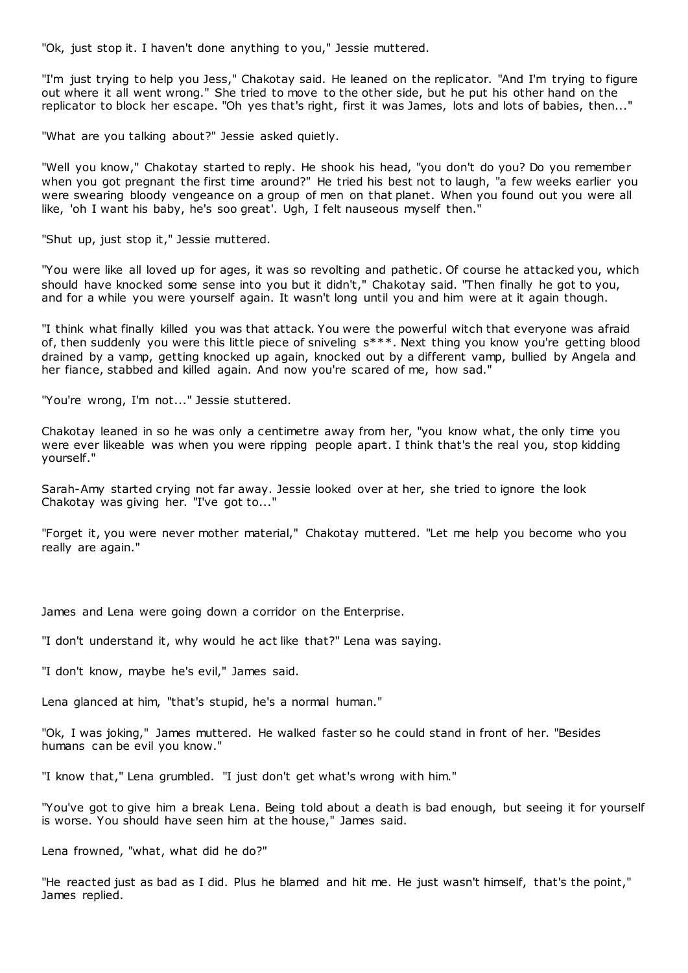"Ok, just stop it. I haven't done anything to you," Jessie muttered.

"I'm just trying to help you Jess," Chakotay said. He leaned on the replicator. "And I'm trying to figure out where it all went wrong." She tried to move to the other side, but he put his other hand on the replicator to block her escape. "Oh yes that's right, first it was James, lots and lots of babies, then..."

"What are you talking about?" Jessie asked quietly.

"Well you know," Chakotay started to reply. He shook his head, "you don't do you? Do you remember when you got pregnant the first time around?" He tried his best not to laugh, "a few weeks earlier you were swearing bloody vengeance on a group of men on that planet. When you found out you were all like, 'oh I want his baby, he's soo great'. Ugh, I felt nauseous myself then."

"Shut up, just stop it," Jessie muttered.

"You were like all loved up for ages, it was so revolting and pathetic . Of course he attacked you, which should have knocked some sense into you but it didn't," Chakotay said. "Then finally he got to you, and for a while you were yourself again. It wasn't long until you and him were at it again though.

"I think what finally killed you was that attack. You were the powerful witch that everyone was afraid of, then suddenly you were this little piece of sniveling s\*\*\*. Next thing you know you're getting blood drained by a vamp, getting knocked up again, knocked out by a different vamp, bullied by Angela and her fiance, stabbed and killed again. And now you're scared of me, how sad."

"You're wrong, I'm not..." Jessie stuttered.

Chakotay leaned in so he was only a centimetre away from her, "you know what, the only time you were ever likeable was when you were ripping people apart. I think that's the real you, stop kidding yourself."

Sarah-Amy started crying not far away. Jessie looked over at her, she tried to ignore the look Chakotay was giving her. "I've got to..."

"Forget it, you were never mother material," Chakotay muttered. "Let me help you become who you really are again."

James and Lena were going down a corridor on the Enterprise.

"I don't understand it, why would he act like that?" Lena was saying.

"I don't know, maybe he's evil," James said.

Lena glanced at him, "that's stupid, he's a normal human."

"Ok, I was joking," James muttered. He walked faster so he could stand in front of her. "Besides humans can be evil you know."

"I know that," Lena grumbled. "I just don't get what's wrong with him."

"You've got to give him a break Lena. Being told about a death is bad enough, but seeing it for yourself is worse. You should have seen him at the house," James said.

Lena frowned, "what, what did he do?"

"He reacted just as bad as I did. Plus he blamed and hit me. He just wasn't himself, that's the point," James replied.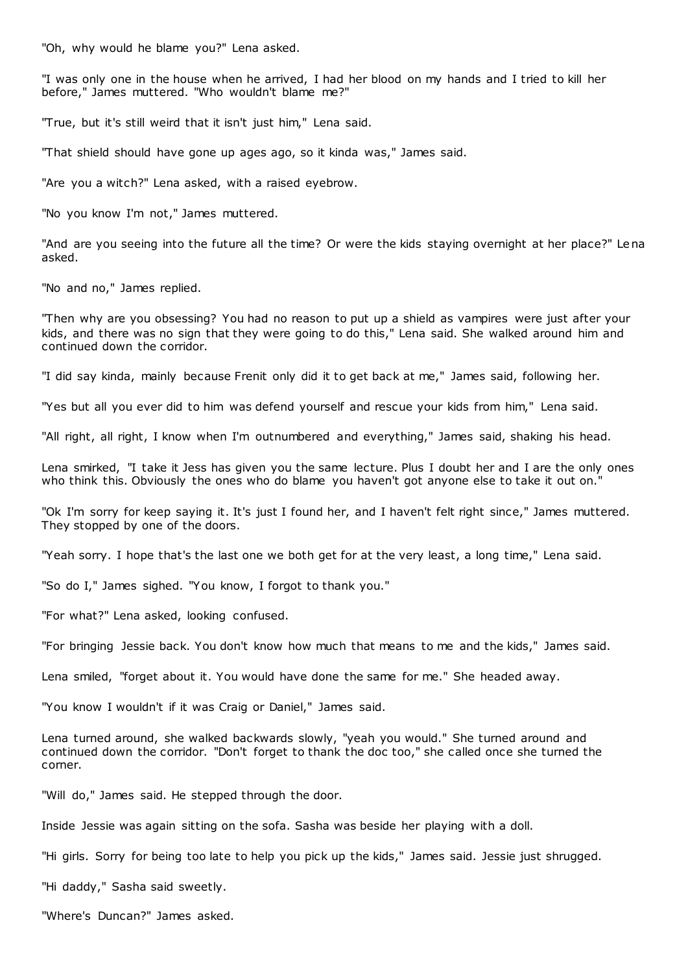"Oh, why would he blame you?" Lena asked.

"I was only one in the house when he arrived, I had her blood on my hands and I tried to kill her before," James muttered. "Who wouldn't blame me?"

"True, but it's still weird that it isn't just him," Lena said.

"That shield should have gone up ages ago, so it kinda was," James said.

"Are you a witch?" Lena asked, with a raised eyebrow.

"No you know I'm not," James muttered.

"And are you seeing into the future all the time? Or were the kids staying overnight at her place?" Lena asked.

"No and no," James replied.

"Then why are you obsessing? You had no reason to put up a shield as vampires were just after your kids, and there was no sign that they were going to do this," Lena said. She walked around him and continued down the corridor.

"I did say kinda, mainly because Frenit only did it to get back at me," James said, following her.

"Yes but all you ever did to him was defend yourself and rescue your kids from him," Lena said.

"All right, all right, I know when I'm outnumbered and everything," James said, shaking his head.

Lena smirked, "I take it Jess has given you the same lecture. Plus I doubt her and I are the only ones who think this. Obviously the ones who do blame you haven't got anyone else to take it out on."

"Ok I'm sorry for keep saying it. It's just I found her, and I haven't felt right since," James muttered. They stopped by one of the doors.

"Yeah sorry. I hope that's the last one we both get for at the very least, a long time," Lena said.

"So do I," James sighed. "You know, I forgot to thank you."

"For what?" Lena asked, looking confused.

"For bringing Jessie back. You don't know how much that means to me and the kids," James said.

Lena smiled, "forget about it. You would have done the same for me." She headed away.

"You know I wouldn't if it was Craig or Daniel," James said.

Lena turned around, she walked backwards slowly, "yeah you would." She turned around and continued down the corridor. "Don't forget to thank the doc too," she called once she turned the corner.

"Will do," James said. He stepped through the door.

Inside Jessie was again sitting on the sofa. Sasha was beside her playing with a doll.

"Hi girls. Sorry for being too late to help you pick up the kids," James said. Jessie just shrugged.

"Hi daddy," Sasha said sweetly.

"Where's Duncan?" James asked.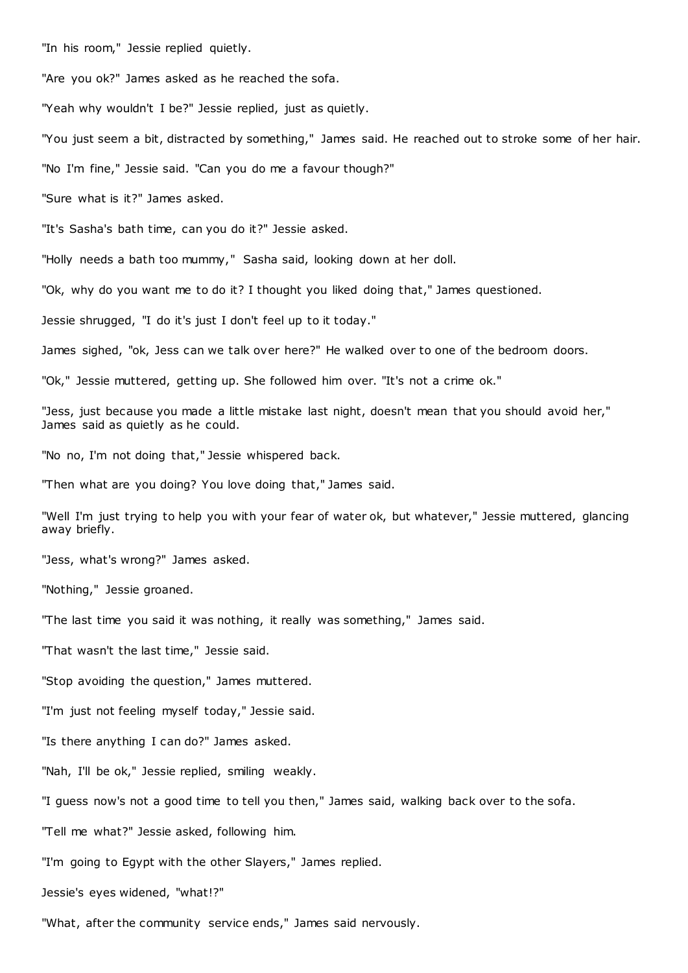"In his room," Jessie replied quietly.

"Are you ok?" James asked as he reached the sofa.

"Yeah why wouldn't I be?" Jessie replied, just as quietly.

"You just seem a bit, distracted by something," James said. He reached out to stroke some of her hair.

"No I'm fine," Jessie said. "Can you do me a favour though?"

"Sure what is it?" James asked.

"It's Sasha's bath time, can you do it?" Jessie asked.

"Holly needs a bath too mummy," Sasha said, looking down at her doll.

"Ok, why do you want me to do it? I thought you liked doing that," James questioned.

Jessie shrugged, "I do it's just I don't feel up to it today."

James sighed, "ok, Jess can we talk over here?" He walked over to one of the bedroom doors.

"Ok," Jessie muttered, getting up. She followed him over. "It's not a crime ok."

"Jess, just because you made a little mistake last night, doesn't mean that you should avoid her," James said as quietly as he could.

"No no, I'm not doing that," Jessie whispered back.

"Then what are you doing? You love doing that," James said.

"Well I'm just trying to help you with your fear of water ok, but whatever," Jessie muttered, glancing away briefly.

"Jess, what's wrong?" James asked.

"Nothing," Jessie groaned.

"The last time you said it was nothing, it really was something," James said.

"That wasn't the last time," Jessie said.

"Stop avoiding the question," James muttered.

"I'm just not feeling myself today," Jessie said.

"Is there anything I can do?" James asked.

"Nah, I'll be ok," Jessie replied, smiling weakly.

"I guess now's not a good time to tell you then," James said, walking back over to the sofa.

"Tell me what?" Jessie asked, following him.

"I'm going to Egypt with the other Slayers," James replied.

Jessie's eyes widened, "what!?"

"What, after the community service ends," James said nervously.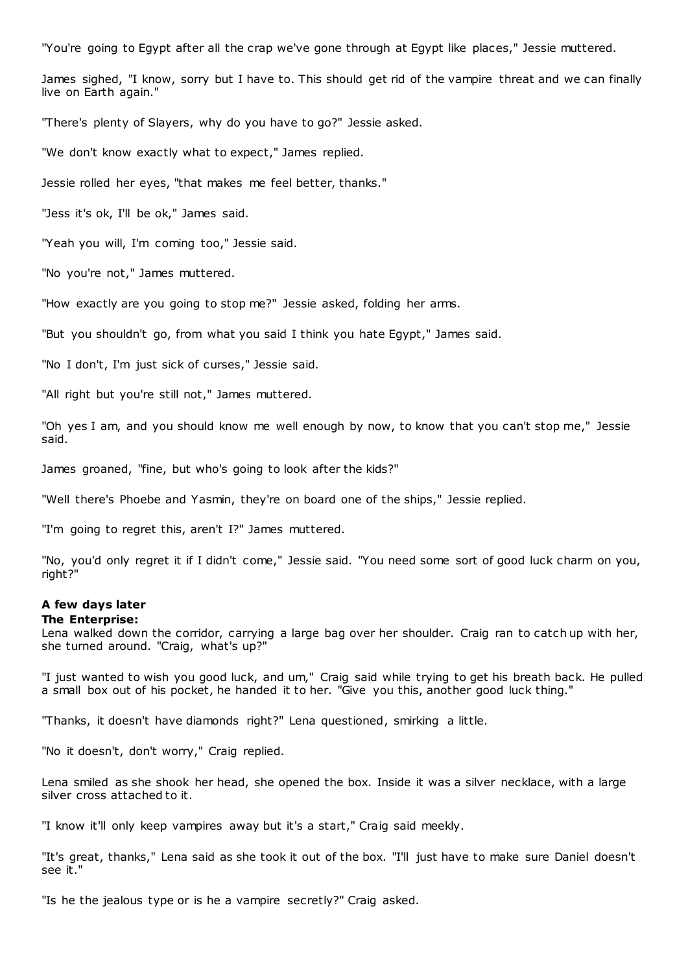"You're going to Egypt after all the crap we've gone through at Egypt like places," Jessie muttered.

James sighed, "I know, sorry but I have to. This should get rid of the vampire threat and we can finally live on Earth again."

"There's plenty of Slayers, why do you have to go?" Jessie asked.

"We don't know exactly what to expect," James replied.

Jessie rolled her eyes, "that makes me feel better, thanks."

"Jess it's ok, I'll be ok," James said.

"Yeah you will, I'm coming too," Jessie said.

"No you're not," James muttered.

"How exactly are you going to stop me?" Jessie asked, folding her arms.

"But you shouldn't go, from what you said I think you hate Egypt," James said.

"No I don't, I'm just sick of curses," Jessie said.

"All right but you're still not," James muttered.

"Oh yes I am, and you should know me well enough by now, to know that you can't stop me," Jessie said.

James groaned, "fine, but who's going to look after the kids?"

"Well there's Phoebe and Yasmin, they're on board one of the ships," Jessie replied.

"I'm going to regret this, aren't I?" James muttered.

"No, you'd only regret it if I didn't come," Jessie said. "You need some sort of good luck charm on you, right?"

# **A few days later**

# **The Enterprise:**

Lena walked down the corridor, carrying a large bag over her shoulder. Craig ran to catch up with her, she turned around. "Craig, what's up?"

"I just wanted to wish you good luck, and um," Craig said while trying to get his breath back. He pulled a small box out of his pocket, he handed it to her. "Give you this, another good luck thing."

"Thanks, it doesn't have diamonds right?" Lena questioned, smirking a little.

"No it doesn't, don't worry," Craig replied.

Lena smiled as she shook her head, she opened the box. Inside it was a silver necklace, with a large silver cross attached to it.

"I know it'll only keep vampires away but it's a start," Craig said meekly.

"It's great, thanks," Lena said as she took it out of the box. "I'll just have to make sure Daniel doesn't see it."

"Is he the jealous type or is he a vampire secretly?" Craig asked.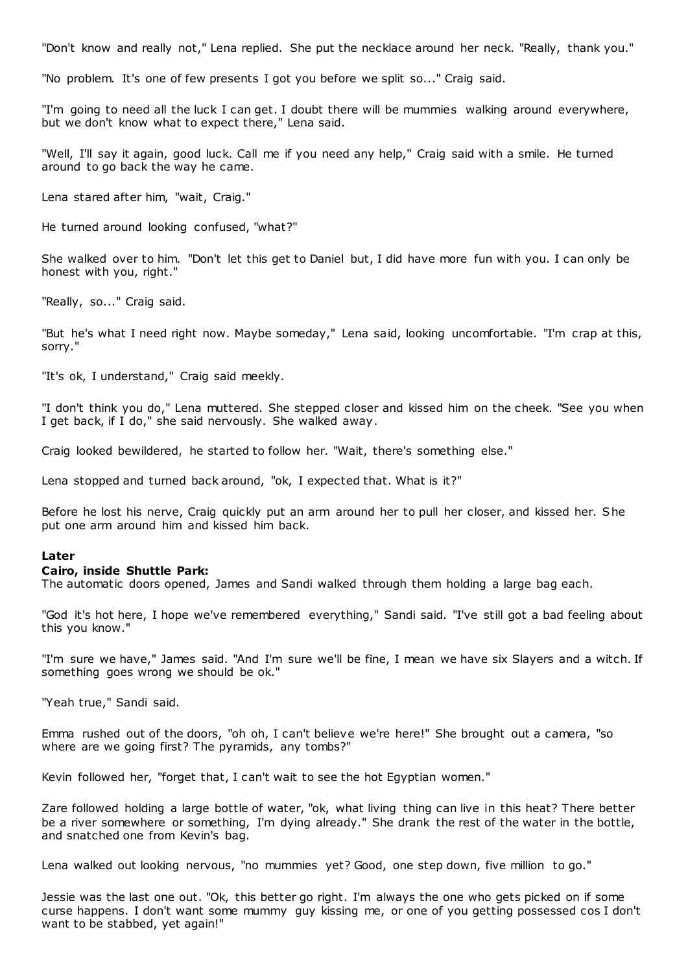"Don't know and really not," Lena replied. She put the necklace around her neck. "Really, thank you."

"No problem. It's one of few presents I got you before we split so..." Craig said.

"I'm going to need all the luck I can get. I doubt there will be mummies walking around everywhere, but we don't know what to expect there," Lena said.

"Well, I'll say it again, good luck. Call me if you need any help," Craig said with a smile. He turned around to go back the way he came.

Lena stared after him, "wait, Craig."

He turned around looking confused, "what?"

She walked over to him. "Don't let this get to Daniel but, I did have more fun with you. I can only be honest with you, right."

"Really, so..." Craig said.

"But he's what I need right now. Maybe someday," Lena said, looking uncomfortable. "I'm crap at this, sorry."

"It's ok, I understand," Craig said meekly.

"I don't think you do," Lena muttered. She stepped closer and kissed him on the cheek. "See you when I get back, if I do," she said nervously. She walked away.

Craig looked bewildered, he started to follow her. "Wait, there's something else."

Lena stopped and turned back around, "ok, I expected that. What is it?"

Before he lost his nerve, Craig quickly put an arm around her to pull her closer, and kissed her. She put one arm around him and kissed him back.

#### **Later**

#### **Cairo, inside Shuttle Park:**

The automatic doors opened, James and Sandi walked through them holding a large bag each.

"God it's hot here, I hope we've remembered everything," Sandi said. "I've still got a bad feeling about this you know."

"I'm sure we have," James said. "And I'm sure we'll be fine, I mean we have six Slayers and a witch. If something goes wrong we should be ok."

"Yeah true," Sandi said.

Emma rushed out of the doors, "oh oh, I can't believe we're here!" She brought out a camera, "so where are we going first? The pyramids, any tombs?"

Kevin followed her, "forget that, I can't wait to see the hot Egyptian women."

Zare followed holding a large bottle of water, "ok, what living thing can live in this heat? There better be a river somewhere or something, I'm dying already." She drank the rest of the water in the bottle, and snatched one from Kevin's bag.

Lena walked out looking nervous, "no mummies yet? Good, one step down, five million to go."

Jessie was the last one out. "Ok, this better go right. I'm always the one who gets picked on if some curse happens. I don't want some mummy guy kissing me, or one of you getting possessed cos I don't want to be stabbed, yet again!"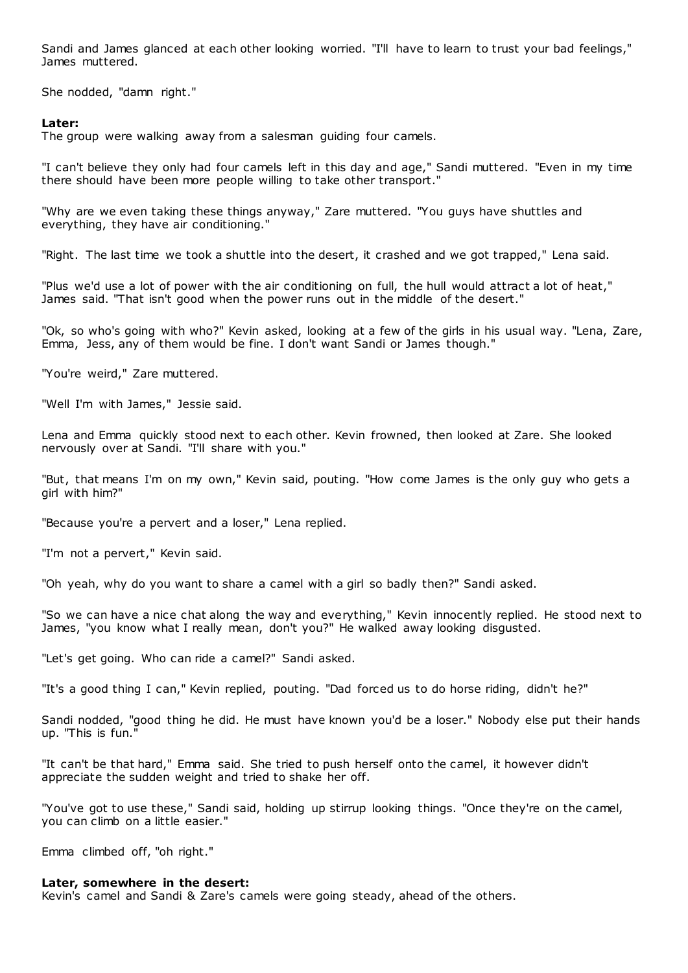Sandi and James glanced at each other looking worried. "I'll have to learn to trust your bad feelings," James muttered.

She nodded, "damn right."

# **Later:**

The group were walking away from a salesman guiding four camels.

"I can't believe they only had four camels left in this day and age," Sandi muttered. "Even in my time there should have been more people willing to take other transport."

"Why are we even taking these things anyway," Zare muttered. "You guys have shuttles and everything, they have air conditioning."

"Right. The last time we took a shuttle into the desert, it crashed and we got trapped," Lena said.

"Plus we'd use a lot of power with the air conditioning on full, the hull would attract a lot of heat," James said. "That isn't good when the power runs out in the middle of the desert."

"Ok, so who's going with who?" Kevin asked, looking at a few of the girls in his usual way. "Lena, Zare, Emma, Jess, any of them would be fine. I don't want Sandi or James though."

"You're weird," Zare muttered.

"Well I'm with James," Jessie said.

Lena and Emma quickly stood next to each other. Kevin frowned, then looked at Zare. She looked nervously over at Sandi. "I'll share with you."

"But, that means I'm on my own," Kevin said, pouting. "How come James is the only guy who gets a girl with him?"

"Because you're a pervert and a loser," Lena replied.

"I'm not a pervert," Kevin said.

"Oh yeah, why do you want to share a camel with a girl so badly then?" Sandi asked.

"So we can have a nice chat along the way and everything," Kevin innocently replied. He stood next to James, "you know what I really mean, don't you?" He walked away looking disgusted.

"Let's get going. Who can ride a camel?" Sandi asked.

"It's a good thing I can," Kevin replied, pouting. "Dad forced us to do horse riding, didn't he?"

Sandi nodded, "good thing he did. He must have known you'd be a loser." Nobody else put their hands up. "This is fun."

"It can't be that hard," Emma said. She tried to push herself onto the camel, it however didn't appreciate the sudden weight and tried to shake her off.

"You've got to use these," Sandi said, holding up stirrup looking things. "Once they're on the camel, you can climb on a little easier."

Emma climbed off, "oh right."

## **Later, somewhere in the desert:**

Kevin's camel and Sandi & Zare's camels were going steady, ahead of the others.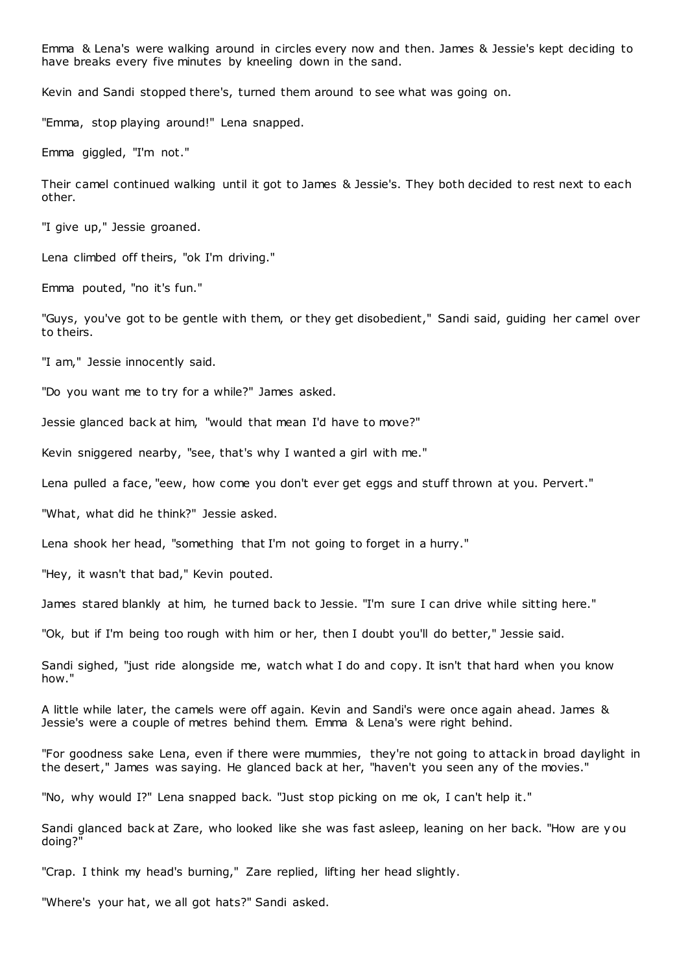Emma & Lena's were walking around in circles every now and then. James & Jessie's kept deciding to have breaks every five minutes by kneeling down in the sand.

Kevin and Sandi stopped there's, turned them around to see what was going on.

"Emma, stop playing around!" Lena snapped.

Emma giggled, "I'm not."

Their camel continued walking until it got to James & Jessie's. They both decided to rest next to each other.

"I give up," Jessie groaned.

Lena climbed off theirs, "ok I'm driving."

Emma pouted, "no it's fun."

"Guys, you've got to be gentle with them, or they get disobedient," Sandi said, guiding her camel over to theirs.

"I am," Jessie innocently said.

"Do you want me to try for a while?" James asked.

Jessie glanced back at him, "would that mean I'd have to move?"

Kevin sniggered nearby, "see, that's why I wanted a girl with me."

Lena pulled a face, "eew, how come you don't ever get eggs and stuff thrown at you. Pervert."

"What, what did he think?" Jessie asked.

Lena shook her head, "something that I'm not going to forget in a hurry."

"Hey, it wasn't that bad," Kevin pouted.

James stared blankly at him, he turned back to Jessie. "I'm sure I can drive while sitting here."

"Ok, but if I'm being too rough with him or her, then I doubt you'll do better," Jessie said.

Sandi sighed, "just ride alongside me, watch what I do and copy. It isn't that hard when you know how."

A little while later, the camels were off again. Kevin and Sandi's were once again ahead. James & Jessie's were a couple of metres behind them. Emma & Lena's were right behind.

"For goodness sake Lena, even if there were mummies, they're not going to attack in broad daylight in the desert," James was saying. He glanced back at her, "haven't you seen any of the movies."

"No, why would I?" Lena snapped back. "Just stop picking on me ok, I can't help it."

Sandi glanced back at Zare, who looked like she was fast asleep, leaning on her back. "How are y ou doing?"

"Crap. I think my head's burning," Zare replied, lifting her head slightly.

"Where's your hat, we all got hats?" Sandi asked.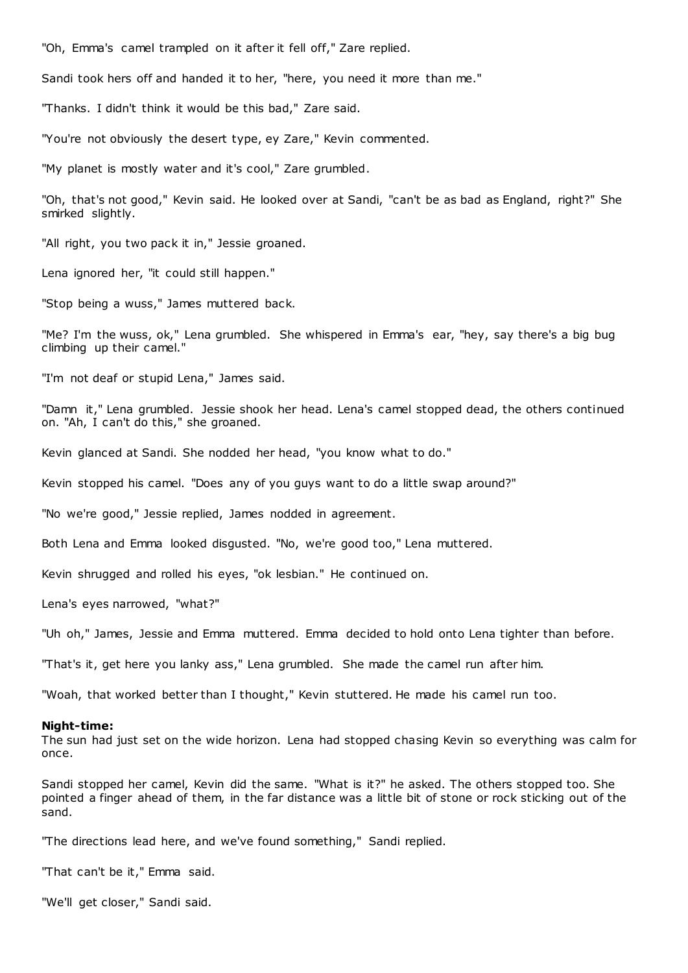"Oh, Emma's camel trampled on it after it fell off," Zare replied.

Sandi took hers off and handed it to her, "here, you need it more than me."

"Thanks. I didn't think it would be this bad," Zare said.

"You're not obviously the desert type, ey Zare," Kevin commented.

"My planet is mostly water and it's cool," Zare grumbled.

"Oh, that's not good," Kevin said. He looked over at Sandi, "can't be as bad as England, right?" She smirked slightly.

"All right, you two pack it in," Jessie groaned.

Lena ignored her, "it could still happen."

"Stop being a wuss," James muttered back.

"Me? I'm the wuss, ok," Lena grumbled. She whispered in Emma's ear, "hey, say there's a big bug climbing up their camel."

"I'm not deaf or stupid Lena," James said.

"Damn it," Lena grumbled. Jessie shook her head. Lena's camel stopped dead, the others continued on. "Ah, I can't do this," she groaned.

Kevin glanced at Sandi. She nodded her head, "you know what to do."

Kevin stopped his camel. "Does any of you guys want to do a little swap around?"

"No we're good," Jessie replied, James nodded in agreement.

Both Lena and Emma looked disgusted. "No, we're good too," Lena muttered.

Kevin shrugged and rolled his eyes, "ok lesbian." He continued on.

Lena's eyes narrowed, "what?"

"Uh oh," James, Jessie and Emma muttered. Emma decided to hold onto Lena tighter than before.

"That's it, get here you lanky ass," Lena grumbled. She made the camel run after him.

"Woah, that worked better than I thought," Kevin stuttered. He made his camel run too.

#### **Night-time:**

The sun had just set on the wide horizon. Lena had stopped chasing Kevin so everything was calm for once.

Sandi stopped her camel, Kevin did the same. "What is it?" he asked. The others stopped too. She pointed a finger ahead of them, in the far distance was a little bit of stone or rock sticking out of the sand.

"The directions lead here, and we've found something," Sandi replied.

"That can't be it," Emma said.

"We'll get closer," Sandi said.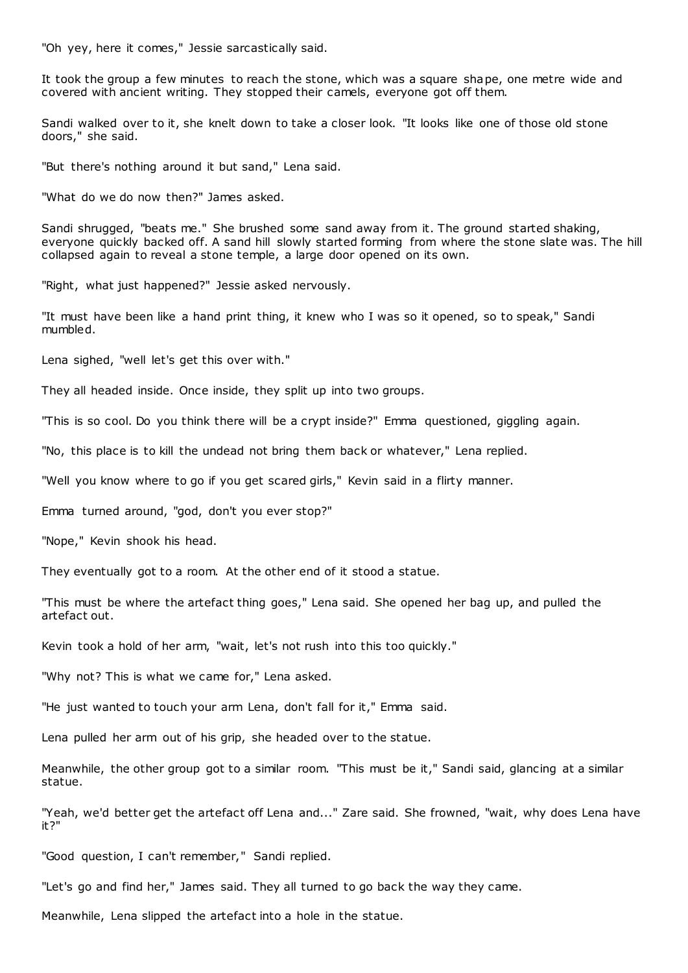"Oh yey, here it comes," Jessie sarcastically said.

It took the group a few minutes to reach the stone, which was a square shape, one metre wide and covered with ancient writing. They stopped their camels, everyone got off them.

Sandi walked over to it, she knelt down to take a closer look. "It looks like one of those old stone doors," she said.

"But there's nothing around it but sand," Lena said.

"What do we do now then?" James asked.

Sandi shrugged, "beats me." She brushed some sand away from it. The ground started shaking, everyone quickly backed off. A sand hill slowly started forming from where the stone slate was. The hill collapsed again to reveal a stone temple, a large door opened on its own.

"Right, what just happened?" Jessie asked nervously.

"It must have been like a hand print thing, it knew who I was so it opened, so to speak," Sandi mumbled.

Lena sighed, "well let's get this over with."

They all headed inside. Once inside, they split up into two groups.

"This is so cool. Do you think there will be a crypt inside?" Emma questioned, giggling again.

"No, this place is to kill the undead not bring them back or whatever," Lena replied.

"Well you know where to go if you get scared girls," Kevin said in a flirty manner.

Emma turned around, "god, don't you ever stop?"

"Nope," Kevin shook his head.

They eventually got to a room. At the other end of it stood a statue.

"This must be where the artefact thing goes," Lena said. She opened her bag up, and pulled the artefact out.

Kevin took a hold of her arm, "wait, let's not rush into this too quickly."

"Why not? This is what we came for," Lena asked.

"He just wanted to touch your arm Lena, don't fall for it," Emma said.

Lena pulled her arm out of his grip, she headed over to the statue.

Meanwhile, the other group got to a similar room. "This must be it," Sandi said, glancing at a similar statue.

"Yeah, we'd better get the artefact off Lena and..." Zare said. She frowned, "wait, why does Lena have it?"

"Good question, I can't remember," Sandi replied.

"Let's go and find her," James said. They all turned to go back the way they came.

Meanwhile, Lena slipped the artefact into a hole in the statue.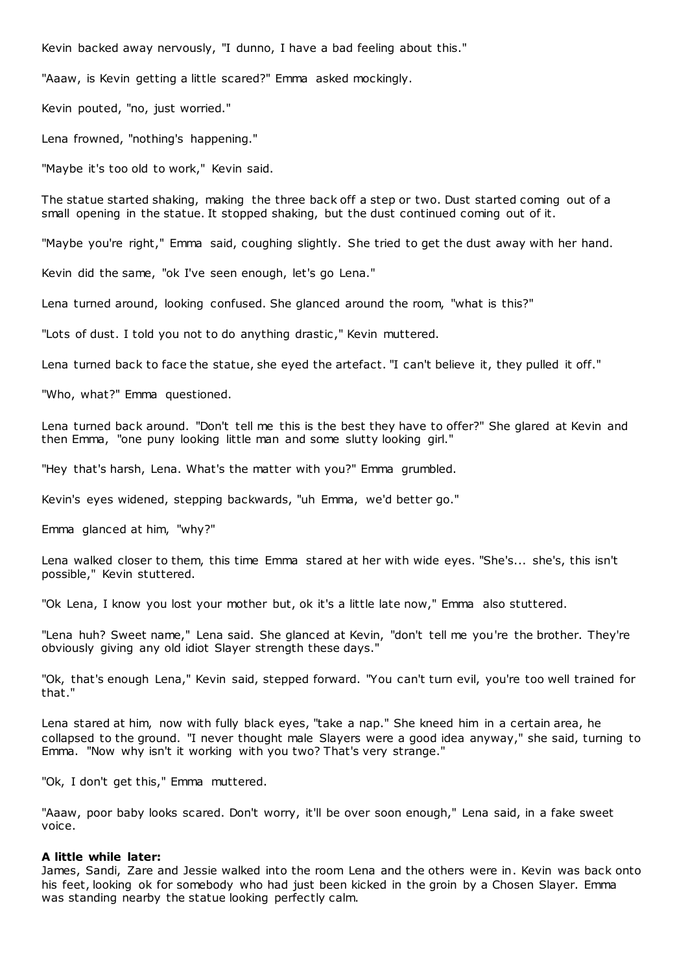Kevin backed away nervously, "I dunno, I have a bad feeling about this."

"Aaaw, is Kevin getting a little scared?" Emma asked mockingly.

Kevin pouted, "no, just worried."

Lena frowned, "nothing's happening."

"Maybe it's too old to work," Kevin said.

The statue started shaking, making the three back off a step or two. Dust started coming out of a small opening in the statue. It stopped shaking, but the dust continued coming out of it.

"Maybe you're right," Emma said, coughing slightly. She tried to get the dust away with her hand.

Kevin did the same, "ok I've seen enough, let's go Lena."

Lena turned around, looking confused. She glanced around the room, "what is this?"

"Lots of dust. I told you not to do anything drastic," Kevin muttered.

Lena turned back to face the statue, she eyed the artefact. "I can't believe it, they pulled it off."

"Who, what?" Emma questioned.

Lena turned back around. "Don't tell me this is the best they have to offer?" She glared at Kevin and then Emma, "one puny looking little man and some slutty looking girl."

"Hey that's harsh, Lena. What's the matter with you?" Emma grumbled.

Kevin's eyes widened, stepping backwards, "uh Emma, we'd better go."

Emma glanced at him, "why?"

Lena walked closer to them, this time Emma stared at her with wide eyes. "She's... she's, this isn't possible," Kevin stuttered.

"Ok Lena, I know you lost your mother but, ok it's a little late now," Emma also stuttered.

"Lena huh? Sweet name," Lena said. She glanced at Kevin, "don't tell me you're the brother. They're obviously giving any old idiot Slayer strength these days."

"Ok, that's enough Lena," Kevin said, stepped forward. "You can't turn evil, you're too well trained for that."

Lena stared at him, now with fully black eyes, "take a nap." She kneed him in a certain area, he collapsed to the ground. "I never thought male Slayers were a good idea anyway," she said, turning to Emma. "Now why isn't it working with you two? That's very strange."

"Ok, I don't get this," Emma muttered.

"Aaaw, poor baby looks scared. Don't worry, it'll be over soon enough," Lena said, in a fake sweet voice.

# **A little while later:**

James, Sandi, Zare and Jessie walked into the room Lena and the others were in. Kevin was back onto his feet, looking ok for somebody who had just been kicked in the groin by a Chosen Slayer. Emma was standing nearby the statue looking perfectly calm.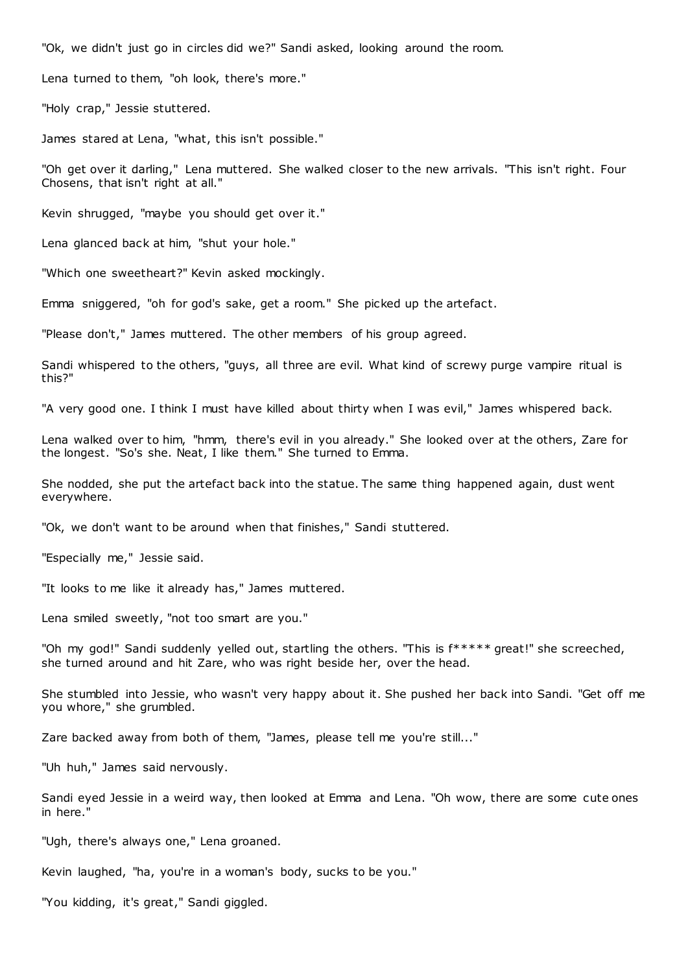"Ok, we didn't just go in circles did we?" Sandi asked, looking around the room.

Lena turned to them, "oh look, there's more."

"Holy crap," Jessie stuttered.

James stared at Lena, "what, this isn't possible."

"Oh get over it darling," Lena muttered. She walked closer to the new arrivals. "This isn't right. Four Chosens, that isn't right at all."

Kevin shrugged, "maybe you should get over it."

Lena glanced back at him, "shut your hole."

"Which one sweetheart?" Kevin asked mockingly.

Emma sniggered, "oh for god's sake, get a room." She picked up the artefact.

"Please don't," James muttered. The other members of his group agreed.

Sandi whispered to the others, "guys, all three are evil. What kind of screwy purge vampire ritual is this?"

"A very good one. I think I must have killed about thirty when I was evil," James whispered back.

Lena walked over to him, "hmm, there's evil in you already." She looked over at the others, Zare for the longest. "So's she. Neat, I like them." She turned to Emma.

She nodded, she put the artefact back into the statue. The same thing happened again, dust went everywhere.

"Ok, we don't want to be around when that finishes," Sandi stuttered.

"Especially me," Jessie said.

"It looks to me like it already has," James muttered.

Lena smiled sweetly, "not too smart are you."

"Oh my god!" Sandi suddenly yelled out, startling the others. "This is f\*\*\*\*\* great!" she screeched, she turned around and hit Zare, who was right beside her, over the head.

She stumbled into Jessie, who wasn't very happy about it. She pushed her back into Sandi. "Get off me you whore," she grumbled.

Zare backed away from both of them, "James, please tell me you're still..."

"Uh huh," James said nervously.

Sandi eyed Jessie in a weird way, then looked at Emma and Lena. "Oh wow, there are some cute ones in here."

"Ugh, there's always one," Lena groaned.

Kevin laughed, "ha, you're in a woman's body, sucks to be you."

"You kidding, it's great," Sandi giggled.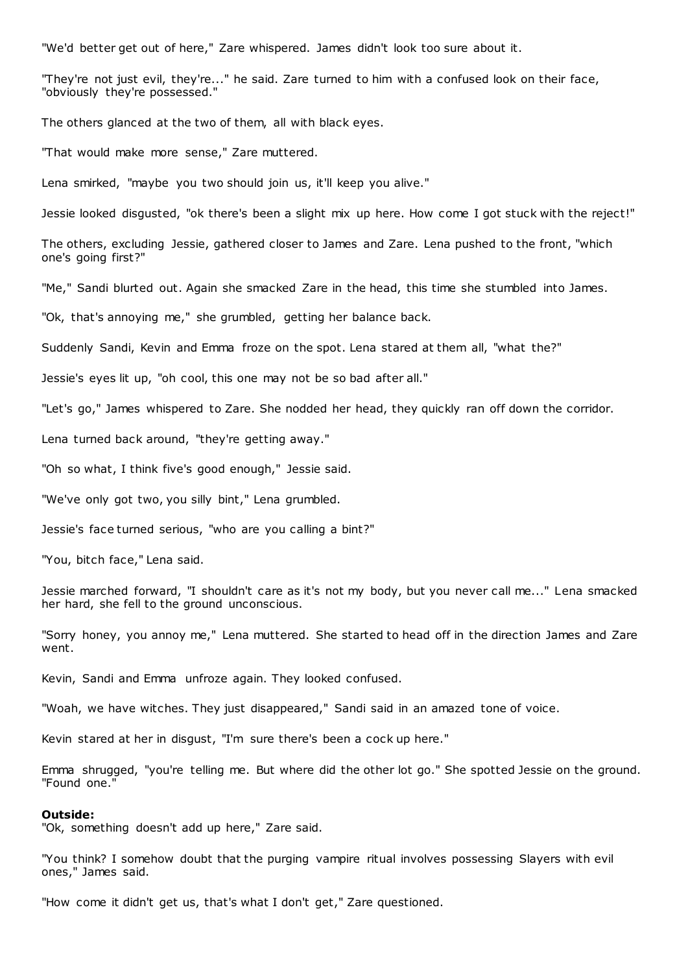"We'd better get out of here," Zare whispered. James didn't look too sure about it.

"They're not just evil, they're..." he said. Zare turned to him with a confused look on their face, "obviously they're possessed."

The others glanced at the two of them, all with black eyes.

"That would make more sense," Zare muttered.

Lena smirked, "maybe you two should join us, it'll keep you alive."

Jessie looked disgusted, "ok there's been a slight mix up here. How come I got stuck with the reject!"

The others, excluding Jessie, gathered closer to James and Zare. Lena pushed to the front, "which one's going first?"

"Me," Sandi blurted out. Again she smacked Zare in the head, this time she stumbled into James.

"Ok, that's annoying me," she grumbled, getting her balance back.

Suddenly Sandi, Kevin and Emma froze on the spot. Lena stared at them all, "what the?"

Jessie's eyes lit up, "oh cool, this one may not be so bad after all."

"Let's go," James whispered to Zare. She nodded her head, they quickly ran off down the corridor.

Lena turned back around, "they're getting away."

"Oh so what, I think five's good enough," Jessie said.

"We've only got two, you silly bint," Lena grumbled.

Jessie's face turned serious, "who are you calling a bint?"

"You, bitch face," Lena said.

Jessie marched forward, "I shouldn't care as it's not my body, but you never call me..." Lena smacked her hard, she fell to the ground unconscious.

"Sorry honey, you annoy me," Lena muttered. She started to head off in the direction James and Zare went.

Kevin, Sandi and Emma unfroze again. They looked confused.

"Woah, we have witches. They just disappeared," Sandi said in an amazed tone of voice.

Kevin stared at her in disgust, "I'm sure there's been a cock up here."

Emma shrugged, "you're telling me. But where did the other lot go." She spotted Jessie on the ground. "Found one."

## **Outside:**

"Ok, something doesn't add up here," Zare said.

"You think? I somehow doubt that the purging vampire ritual involves possessing Slayers with evil ones," James said.

"How come it didn't get us, that's what I don't get," Zare questioned.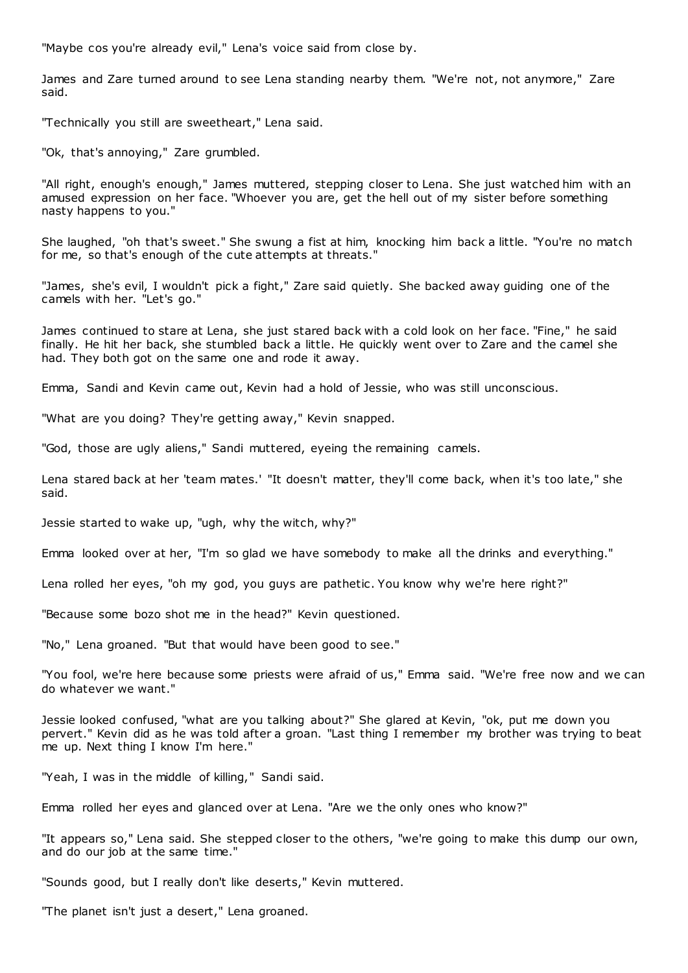"Maybe cos you're already evil," Lena's voice said from close by.

James and Zare turned around to see Lena standing nearby them. "We're not, not anymore," Zare said.

"Technically you still are sweetheart," Lena said.

"Ok, that's annoying," Zare grumbled.

"All right, enough's enough," James muttered, stepping closer to Lena. She just watched him with an amused expression on her face. "Whoever you are, get the hell out of my sister before something nasty happens to you."

She laughed, "oh that's sweet." She swung a fist at him, knocking him back a little. "You're no match for me, so that's enough of the cute attempts at threats."

"James, she's evil, I wouldn't pick a fight," Zare said quietly. She backed away guiding one of the camels with her. "Let's go."

James continued to stare at Lena, she just stared back with a cold look on her face. "Fine," he said finally. He hit her back, she stumbled back a little. He quickly went over to Zare and the camel she had. They both got on the same one and rode it away.

Emma, Sandi and Kevin came out, Kevin had a hold of Jessie, who was still unconscious.

"What are you doing? They're getting away," Kevin snapped.

"God, those are ugly aliens," Sandi muttered, eyeing the remaining camels.

Lena stared back at her 'team mates.' "It doesn't matter, they'll come back, when it's too late," she said.

Jessie started to wake up, "ugh, why the witch, why?"

Emma looked over at her, "I'm so glad we have somebody to make all the drinks and everything."

Lena rolled her eyes, "oh my god, you guys are pathetic . You know why we're here right?"

"Because some bozo shot me in the head?" Kevin questioned.

"No," Lena groaned. "But that would have been good to see."

"You fool, we're here because some priests were afraid of us," Emma said. "We're free now and we can do whatever we want."

Jessie looked confused, "what are you talking about?" She glared at Kevin, "ok, put me down you pervert." Kevin did as he was told after a groan. "Last thing I remember my brother was trying to beat me up. Next thing I know I'm here."

"Yeah, I was in the middle of killing," Sandi said.

Emma rolled her eyes and glanced over at Lena. "Are we the only ones who know?"

"It appears so," Lena said. She stepped closer to the others, "we're going to make this dump our own, and do our job at the same time."

"Sounds good, but I really don't like deserts," Kevin muttered.

"The planet isn't just a desert," Lena groaned.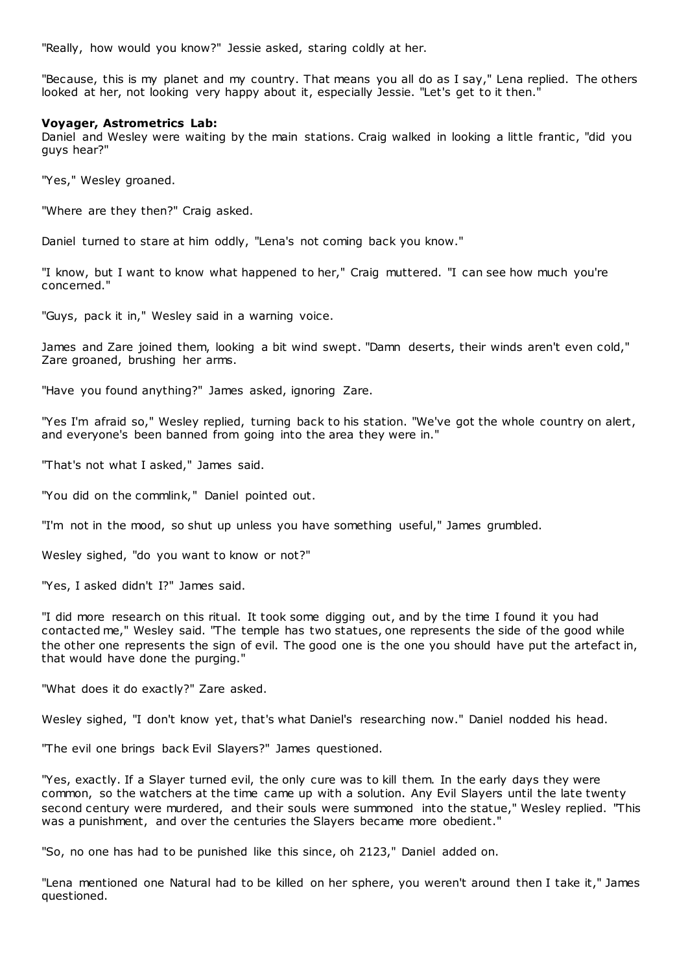"Really, how would you know?" Jessie asked, staring coldly at her.

"Because, this is my planet and my country. That means you all do as I say," Lena replied. The others looked at her, not looking very happy about it, especially Jessie. "Let's get to it then."

## **Voyager, Astrometrics Lab:**

Daniel and Wesley were waiting by the main stations. Craig walked in looking a little frantic, "did you guys hear?"

"Yes," Wesley groaned.

"Where are they then?" Craig asked.

Daniel turned to stare at him oddly, "Lena's not coming back you know."

"I know, but I want to know what happened to her," Craig muttered. "I can see how much you're concerned."

"Guys, pack it in," Wesley said in a warning voice.

James and Zare joined them, looking a bit wind swept. "Damn deserts, their winds aren't even cold," Zare groaned, brushing her arms.

"Have you found anything?" James asked, ignoring Zare.

"Yes I'm afraid so," Wesley replied, turning back to his station. "We've got the whole country on alert, and everyone's been banned from going into the area they were in."

"That's not what I asked," James said.

"You did on the commlink," Daniel pointed out.

"I'm not in the mood, so shut up unless you have something useful," James grumbled.

Wesley sighed, "do you want to know or not?"

"Yes, I asked didn't I?" James said.

"I did more research on this ritual. It took some digging out, and by the time I found it you had contacted me," Wesley said. "The temple has two statues, one represents the side of the good while the other one represents the sign of evil. The good one is the one you should have put the artefact in, that would have done the purging."

"What does it do exactly?" Zare asked.

Wesley sighed, "I don't know yet, that's what Daniel's researching now." Daniel nodded his head.

"The evil one brings back Evil Slayers?" James questioned.

"Yes, exactly. If a Slayer turned evil, the only cure was to kill them. In the early days they were common, so the watchers at the time came up with a solution. Any Evil Slayers until the late twenty second century were murdered, and their souls were summoned into the statue," Wesley replied. "This was a punishment, and over the centuries the Slayers became more obedient."

"So, no one has had to be punished like this since, oh 2123," Daniel added on.

"Lena mentioned one Natural had to be killed on her sphere, you weren't around then I take it," James questioned.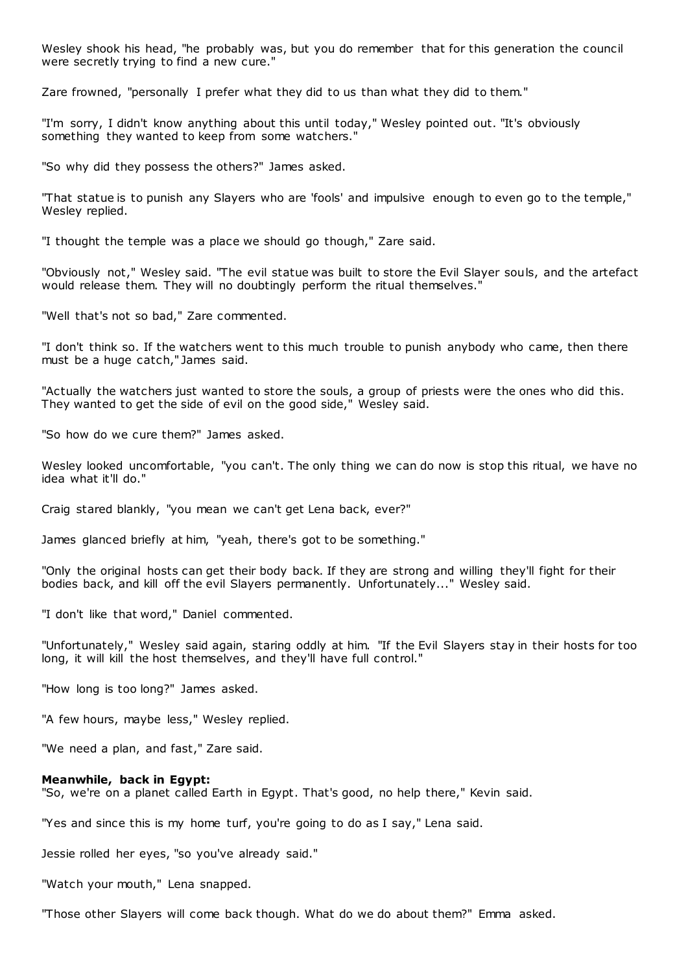Wesley shook his head, "he probably was, but you do remember that for this generation the council were secretly trying to find a new cure."

Zare frowned, "personally I prefer what they did to us than what they did to them."

"I'm sorry, I didn't know anything about this until today," Wesley pointed out. "It's obviously something they wanted to keep from some watchers."

"So why did they possess the others?" James asked.

"That statue is to punish any Slayers who are 'fools' and impulsive enough to even go to the temple," Wesley replied.

"I thought the temple was a place we should go though," Zare said.

"Obviously not," Wesley said. "The evil statue was built to store the Evil Slayer souls, and the artefact would release them. They will no doubtingly perform the ritual themselves."

"Well that's not so bad," Zare commented.

"I don't think so. If the watchers went to this much trouble to punish anybody who came, then there must be a huge catch," James said.

"Actually the watchers just wanted to store the souls, a group of priests were the ones who did this. They wanted to get the side of evil on the good side," Wesley said.

"So how do we cure them?" James asked.

Wesley looked uncomfortable, "you can't. The only thing we can do now is stop this ritual, we have no idea what it'll do."

Craig stared blankly, "you mean we can't get Lena back, ever?"

James glanced briefly at him, "yeah, there's got to be something."

"Only the original hosts can get their body back. If they are strong and willing they'll fight for their bodies back, and kill off the evil Slayers permanently. Unfortunately..." Wesley said.

"I don't like that word," Daniel commented.

"Unfortunately," Wesley said again, staring oddly at him. "If the Evil Slayers stay in their hosts for too long, it will kill the host themselves, and they'll have full control."

"How long is too long?" James asked.

"A few hours, maybe less," Wesley replied.

"We need a plan, and fast," Zare said.

## **Meanwhile, back in Egypt:**

"So, we're on a planet called Earth in Egypt. That's good, no help there," Kevin said.

"Yes and since this is my home turf, you're going to do as I say," Lena said.

Jessie rolled her eyes, "so you've already said."

"Watch your mouth," Lena snapped.

"Those other Slayers will come back though. What do we do about them?" Emma asked.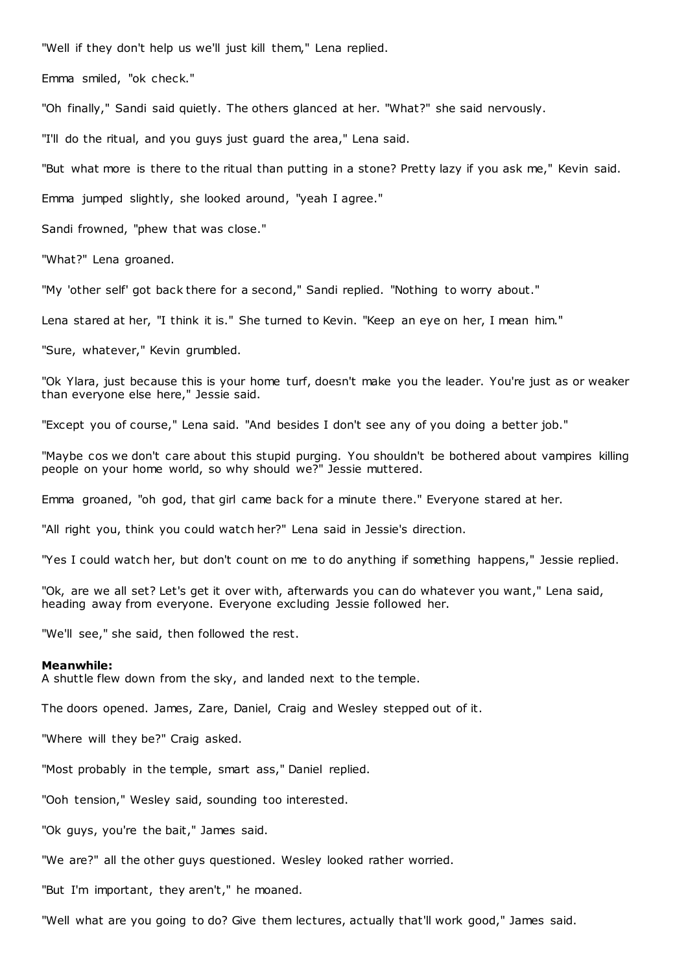"Well if they don't help us we'll just kill them," Lena replied.

Emma smiled, "ok check."

"Oh finally," Sandi said quietly. The others glanced at her. "What?" she said nervously.

"I'll do the ritual, and you guys just guard the area," Lena said.

"But what more is there to the ritual than putting in a stone? Pretty lazy if you ask me," Kevin said.

Emma jumped slightly, she looked around, "yeah I agree."

Sandi frowned, "phew that was close."

"What?" Lena groaned.

"My 'other self' got back there for a second," Sandi replied. "Nothing to worry about."

Lena stared at her, "I think it is." She turned to Kevin. "Keep an eye on her, I mean him."

"Sure, whatever," Kevin grumbled.

"Ok Ylara, just because this is your home turf, doesn't make you the leader. You're just as or weaker than everyone else here," Jessie said.

"Except you of course," Lena said. "And besides I don't see any of you doing a better job."

"Maybe cos we don't care about this stupid purging. You shouldn't be bothered about vampires killing people on your home world, so why should we?" Jessie muttered.

Emma groaned, "oh god, that girl came back for a minute there." Everyone stared at her.

"All right you, think you could watch her?" Lena said in Jessie's direction.

"Yes I could watch her, but don't count on me to do anything if something happens," Jessie replied.

"Ok, are we all set? Let's get it over with, afterwards you can do whatever you want," Lena said, heading away from everyone. Everyone excluding Jessie followed her.

"We'll see," she said, then followed the rest.

#### **Meanwhile:**

A shuttle flew down from the sky, and landed next to the temple.

The doors opened. James, Zare, Daniel, Craig and Wesley stepped out of it.

"Where will they be?" Craig asked.

"Most probably in the temple, smart ass," Daniel replied.

"Ooh tension," Wesley said, sounding too interested.

"Ok guys, you're the bait," James said.

"We are?" all the other guys questioned. Wesley looked rather worried.

"But I'm important, they aren't," he moaned.

"Well what are you going to do? Give them lectures, actually that'll work good," James said.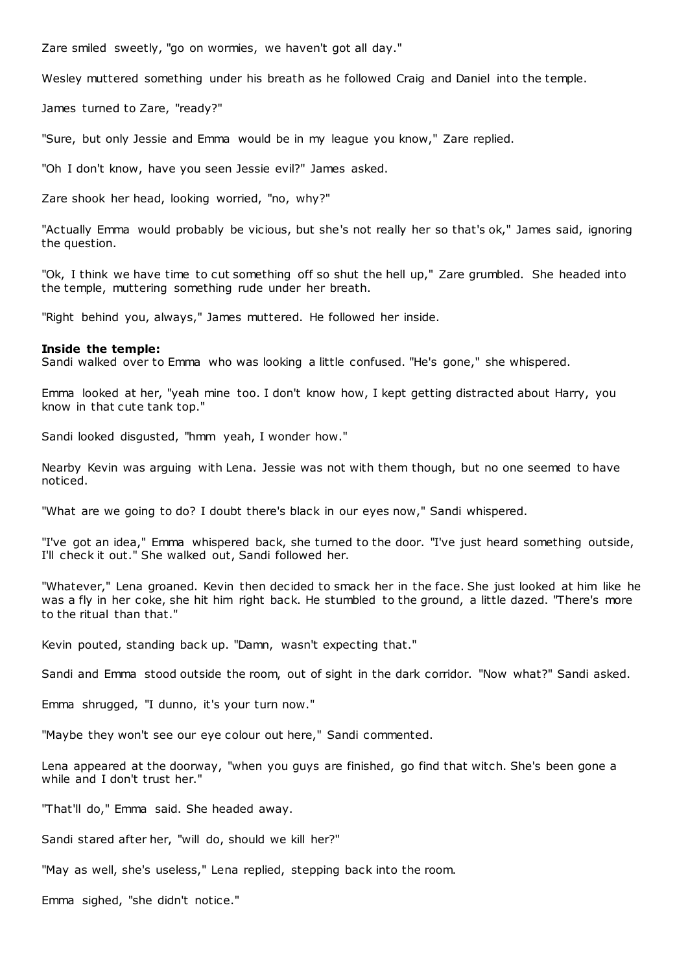Zare smiled sweetly, "go on wormies, we haven't got all day."

Wesley muttered something under his breath as he followed Craig and Daniel into the temple.

James turned to Zare, "ready?"

"Sure, but only Jessie and Emma would be in my league you know," Zare replied.

"Oh I don't know, have you seen Jessie evil?" James asked.

Zare shook her head, looking worried, "no, why?"

"Actually Emma would probably be vicious, but she's not really her so that's ok," James said, ignoring the question.

"Ok, I think we have time to cut something off so shut the hell up," Zare grumbled. She headed into the temple, muttering something rude under her breath.

"Right behind you, always," James muttered. He followed her inside.

#### **Inside the temple:**

Sandi walked over to Emma who was looking a little confused. "He's gone," she whispered.

Emma looked at her, "yeah mine too. I don't know how, I kept getting distracted about Harry, you know in that cute tank top."

Sandi looked disgusted, "hmm yeah, I wonder how."

Nearby Kevin was arguing with Lena. Jessie was not with them though, but no one seemed to have noticed.

"What are we going to do? I doubt there's black in our eyes now," Sandi whispered.

"I've got an idea," Emma whispered back, she turned to the door. "I've just heard something outside, I'll check it out." She walked out, Sandi followed her.

"Whatever," Lena groaned. Kevin then decided to smack her in the face. She just looked at him like he was a fly in her coke, she hit him right back. He stumbled to the ground, a little dazed. "There's more to the ritual than that."

Kevin pouted, standing back up. "Damn, wasn't expecting that."

Sandi and Emma stood outside the room, out of sight in the dark corridor. "Now what?" Sandi asked.

Emma shrugged, "I dunno, it's your turn now."

"Maybe they won't see our eye colour out here," Sandi commented.

Lena appeared at the doorway, "when you guys are finished, go find that witch. She's been gone a while and I don't trust her."

"That'll do," Emma said. She headed away.

Sandi stared after her, "will do, should we kill her?"

"May as well, she's useless," Lena replied, stepping back into the room.

Emma sighed, "she didn't notice."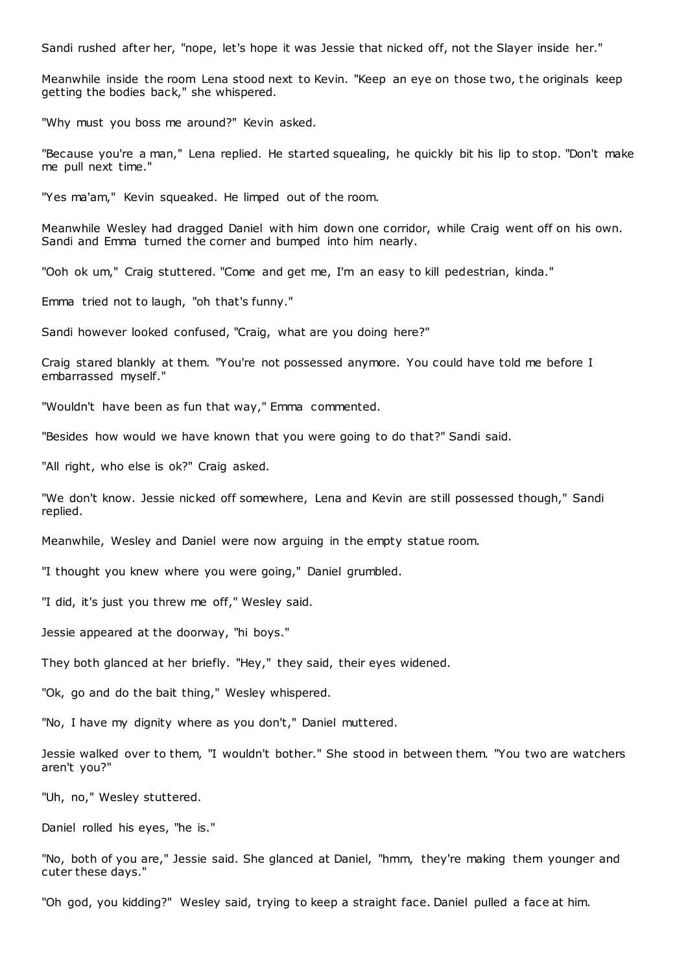Sandi rushed after her, "nope, let's hope it was Jessie that nicked off, not the Slayer inside her."

Meanwhile inside the room Lena stood next to Kevin. "Keep an eye on those two, t he originals keep getting the bodies back," she whispered.

"Why must you boss me around?" Kevin asked.

"Because you're a man," Lena replied. He started squealing, he quickly bit his lip to stop. "Don't make me pull next time."

"Yes ma'am," Kevin squeaked. He limped out of the room.

Meanwhile Wesley had dragged Daniel with him down one corridor, while Craig went off on his own. Sandi and Emma turned the corner and bumped into him nearly.

"Ooh ok um," Craig stuttered. "Come and get me, I'm an easy to kill pedestrian, kinda."

Emma tried not to laugh, "oh that's funny."

Sandi however looked confused, "Craig, what are you doing here?"

Craig stared blankly at them. "You're not possessed anymore. You could have told me before I embarrassed myself."

"Wouldn't have been as fun that way," Emma commented.

"Besides how would we have known that you were going to do that?" Sandi said.

"All right, who else is ok?" Craig asked.

"We don't know. Jessie nicked off somewhere, Lena and Kevin are still possessed though," Sandi replied.

Meanwhile, Wesley and Daniel were now arguing in the empty statue room.

"I thought you knew where you were going," Daniel grumbled.

"I did, it's just you threw me off," Wesley said.

Jessie appeared at the doorway, "hi boys."

They both glanced at her briefly. "Hey," they said, their eyes widened.

"Ok, go and do the bait thing," Wesley whispered.

"No, I have my dignity where as you don't," Daniel muttered.

Jessie walked over to them, "I wouldn't bother." She stood in between them. "You two are watchers aren't you?"

"Uh, no," Wesley stuttered.

Daniel rolled his eyes, "he is."

"No, both of you are," Jessie said. She glanced at Daniel, "hmm, they're making them younger and cuter these days."

"Oh god, you kidding?" Wesley said, trying to keep a straight face. Daniel pulled a face at him.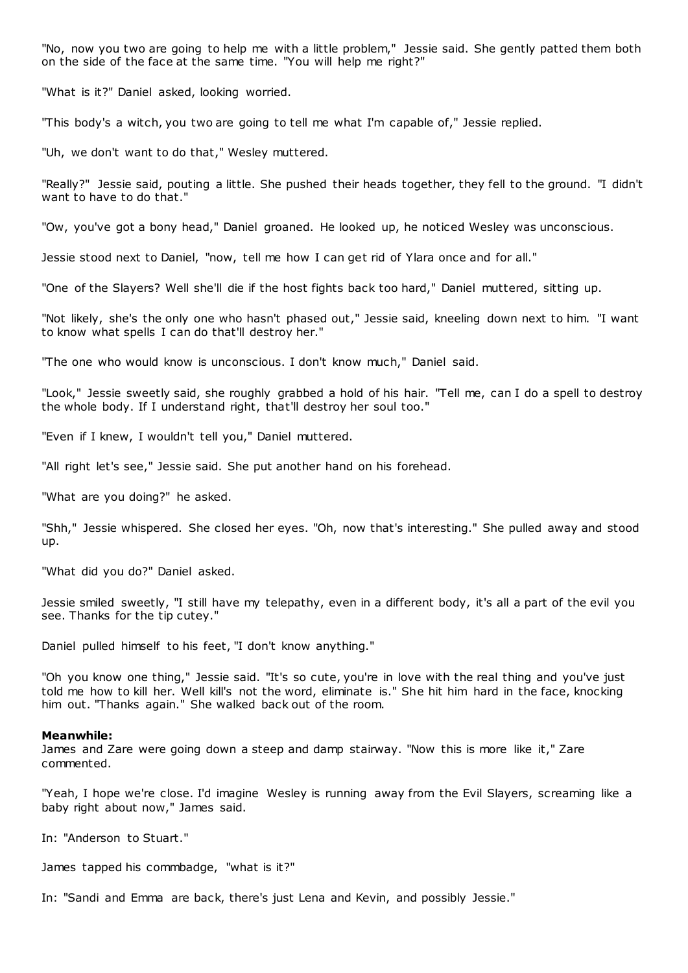"No, now you two are going to help me with a little problem," Jessie said. She gently patted them both on the side of the face at the same time. "You will help me right?"

"What is it?" Daniel asked, looking worried.

"This body's a witch, you two are going to tell me what I'm capable of," Jessie replied.

"Uh, we don't want to do that," Wesley muttered.

"Really?" Jessie said, pouting a little. She pushed their heads together, they fell to the ground. "I didn't want to have to do that."

"Ow, you've got a bony head," Daniel groaned. He looked up, he noticed Wesley was unconscious.

Jessie stood next to Daniel, "now, tell me how I can get rid of Ylara once and for all."

"One of the Slayers? Well she'll die if the host fights back too hard," Daniel muttered, sitting up.

"Not likely, she's the only one who hasn't phased out," Jessie said, kneeling down next to him. "I want to know what spells I can do that'll destroy her."

"The one who would know is unconscious. I don't know much," Daniel said.

"Look," Jessie sweetly said, she roughly grabbed a hold of his hair. "Tell me, can I do a spell to destroy the whole body. If I understand right, that'll destroy her soul too."

"Even if I knew, I wouldn't tell you," Daniel muttered.

"All right let's see," Jessie said. She put another hand on his forehead.

"What are you doing?" he asked.

"Shh," Jessie whispered. She closed her eyes. "Oh, now that's interesting." She pulled away and stood up.

"What did you do?" Daniel asked.

Jessie smiled sweetly, "I still have my telepathy, even in a different body, it's all a part of the evil you see. Thanks for the tip cutey."

Daniel pulled himself to his feet, "I don't know anything."

"Oh you know one thing," Jessie said. "It's so cute, you're in love with the real thing and you've just told me how to kill her. Well kill's not the word, eliminate is." She hit him hard in the face, knocking him out. "Thanks again." She walked back out of the room.

#### **Meanwhile:**

James and Zare were going down a steep and damp stairway. "Now this is more like it," Zare commented.

"Yeah, I hope we're close. I'd imagine Wesley is running away from the Evil Slayers, screaming like a baby right about now," James said.

In: "Anderson to Stuart."

James tapped his commbadge, "what is it?"

In: "Sandi and Emma are back, there's just Lena and Kevin, and possibly Jessie."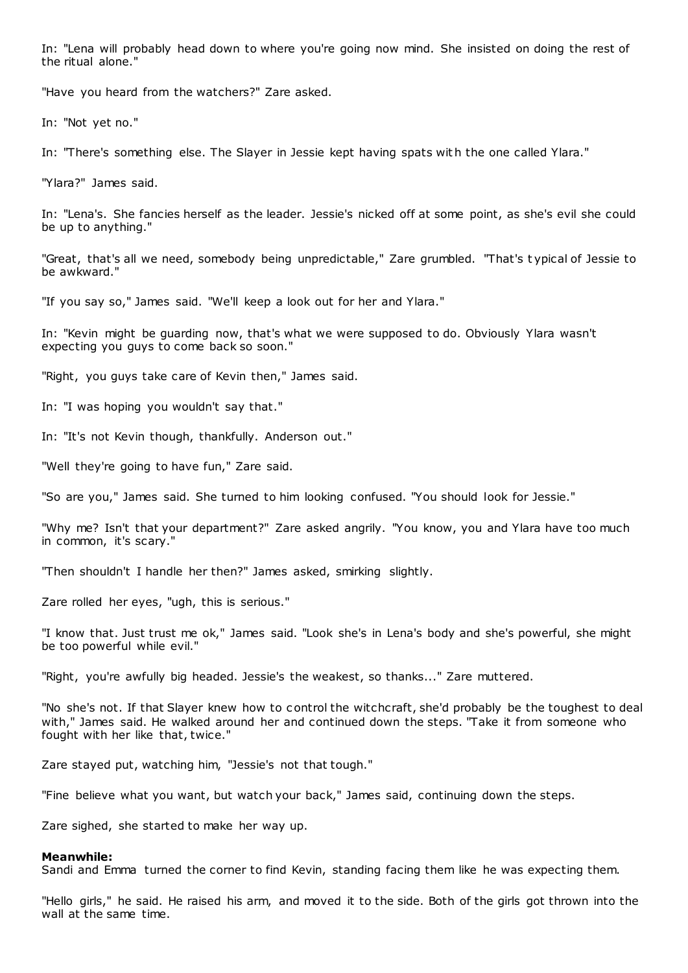In: "Lena will probably head down to where you're going now mind. She insisted on doing the rest of the ritual alone."

"Have you heard from the watchers?" Zare asked.

In: "Not yet no."

In: "There's something else. The Slayer in Jessie kept having spats with the one called Ylara."

"Ylara?" James said.

In: "Lena's. She fancies herself as the leader. Jessie's nicked off at some point, as she's evil she could be up to anything."

"Great, that's all we need, somebody being unpredictable," Zare grumbled. "That's t ypical of Jessie to be awkward."

"If you say so," James said. "We'll keep a look out for her and Ylara."

In: "Kevin might be guarding now, that's what we were supposed to do. Obviously Ylara wasn't expecting you guys to come back so soon."

"Right, you guys take care of Kevin then," James said.

In: "I was hoping you wouldn't say that."

In: "It's not Kevin though, thankfully. Anderson out."

"Well they're going to have fun," Zare said.

"So are you," James said. She turned to him looking confused. "You should look for Jessie."

"Why me? Isn't that your department?" Zare asked angrily. "You know, you and Ylara have too much in common, it's scary."

"Then shouldn't I handle her then?" James asked, smirking slightly.

Zare rolled her eyes, "ugh, this is serious."

"I know that. Just trust me ok," James said. "Look she's in Lena's body and she's powerful, she might be too powerful while evil."

"Right, you're awfully big headed. Jessie's the weakest, so thanks..." Zare muttered.

"No she's not. If that Slayer knew how to control the witchcraft, she'd probably be the toughest to deal with," James said. He walked around her and continued down the steps. "Take it from someone who fought with her like that, twice."

Zare stayed put, watching him, "Jessie's not that tough."

"Fine believe what you want, but watch your back," James said, continuing down the steps.

Zare sighed, she started to make her way up.

#### **Meanwhile:**

Sandi and Emma turned the corner to find Kevin, standing facing them like he was expecting them.

"Hello girls," he said. He raised his arm, and moved it to the side. Both of the girls got thrown into the wall at the same time.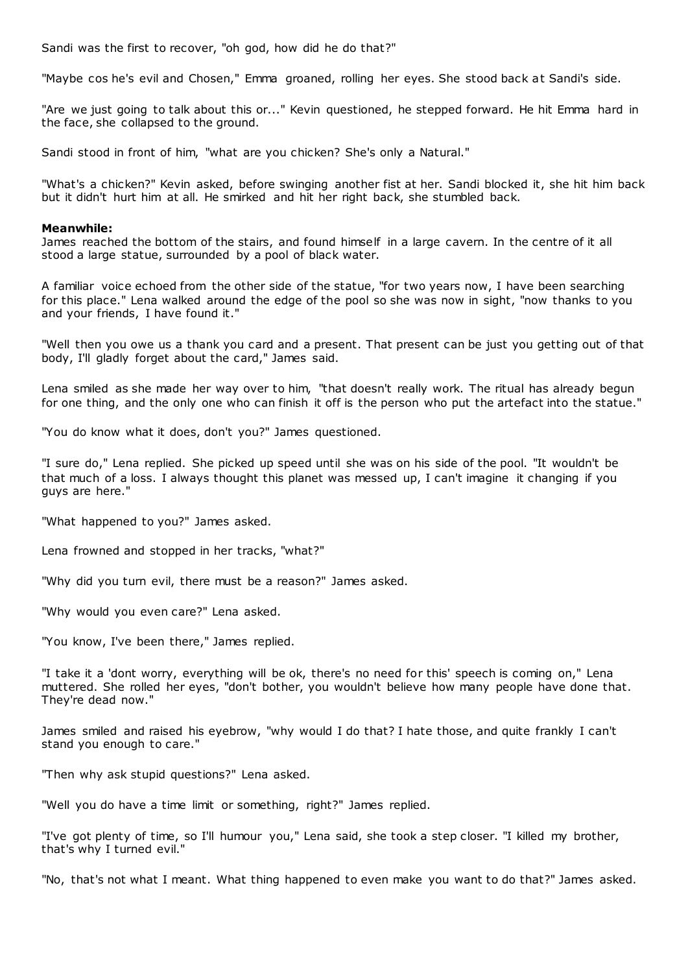Sandi was the first to recover, "oh god, how did he do that?"

"Maybe cos he's evil and Chosen," Emma groaned, rolling her eyes. She stood back at Sandi's side.

"Are we just going to talk about this or..." Kevin questioned, he stepped forward. He hit Emma hard in the face, she collapsed to the ground.

Sandi stood in front of him, "what are you chicken? She's only a Natural."

"What's a chicken?" Kevin asked, before swinging another fist at her. Sandi blocked it, she hit him back but it didn't hurt him at all. He smirked and hit her right back, she stumbled back.

# **Meanwhile:**

James reached the bottom of the stairs, and found himself in a large cavern. In the centre of it all stood a large statue, surrounded by a pool of black water.

A familiar voice echoed from the other side of the statue, "for two years now, I have been searching for this place." Lena walked around the edge of the pool so she was now in sight, "now thanks to you and your friends, I have found it."

"Well then you owe us a thank you card and a present. That present can be just you getting out of that body, I'll gladly forget about the card," James said.

Lena smiled as she made her way over to him, "that doesn't really work. The ritual has already begun for one thing, and the only one who can finish it off is the person who put the artefact into the statue."

"You do know what it does, don't you?" James questioned.

"I sure do," Lena replied. She picked up speed until she was on his side of the pool. "It wouldn't be that much of a loss. I always thought this planet was messed up, I can't imagine it changing if you guys are here."

"What happened to you?" James asked.

Lena frowned and stopped in her tracks, "what?"

"Why did you turn evil, there must be a reason?" James asked.

"Why would you even care?" Lena asked.

"You know, I've been there," James replied.

"I take it a 'dont worry, everything will be ok, there's no need for this' speech is coming on," Lena muttered. She rolled her eyes, "don't bother, you wouldn't believe how many people have done that. They're dead now."

James smiled and raised his eyebrow, "why would I do that? I hate those, and quite frankly I can't stand you enough to care."

"Then why ask stupid questions?" Lena asked.

"Well you do have a time limit or something, right?" James replied.

"I've got plenty of time, so I'll humour you," Lena said, she took a step closer. "I killed my brother, that's why I turned evil."

"No, that's not what I meant. What thing happened to even make you want to do that?" James asked.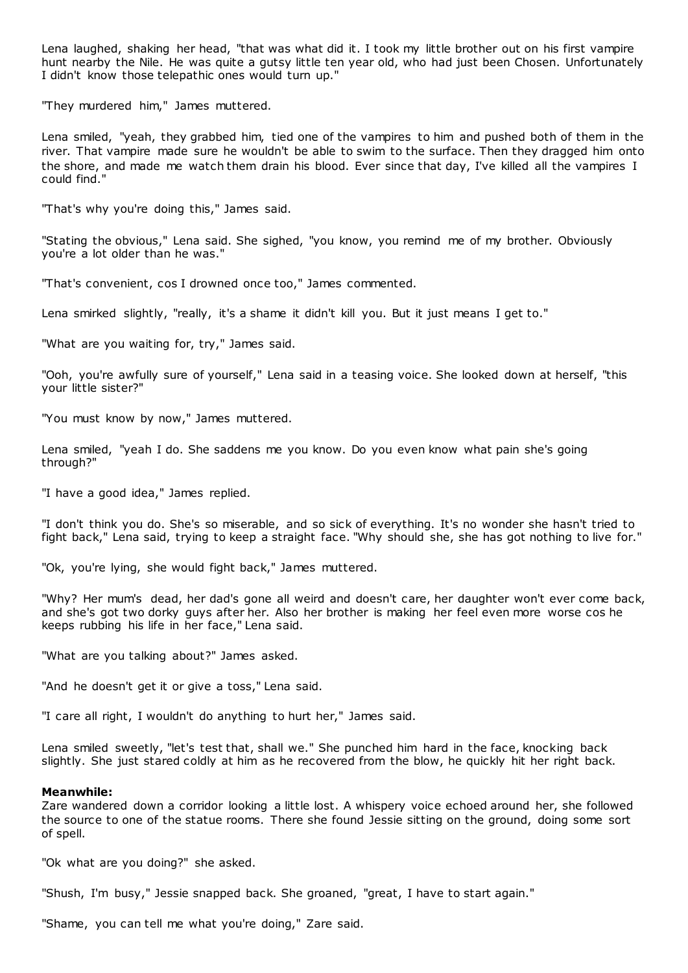Lena laughed, shaking her head, "that was what did it. I took my little brother out on his first vampire hunt nearby the Nile. He was quite a gutsy little ten year old, who had just been Chosen. Unfortunately I didn't know those telepathic ones would turn up."

"They murdered him," James muttered.

Lena smiled, "yeah, they grabbed him, tied one of the vampires to him and pushed both of them in the river. That vampire made sure he wouldn't be able to swim to the surface. Then they dragged him onto the shore, and made me watch them drain his blood. Ever since that day, I've killed all the vampires I could find."

"That's why you're doing this," James said.

"Stating the obvious," Lena said. She sighed, "you know, you remind me of my brother. Obviously you're a lot older than he was."

"That's convenient, cos I drowned once too," James commented.

Lena smirked slightly, "really, it's a shame it didn't kill you. But it just means I get to."

"What are you waiting for, try," James said.

"Ooh, you're awfully sure of yourself," Lena said in a teasing voice. She looked down at herself, "this your little sister?"

"You must know by now," James muttered.

Lena smiled, "yeah I do. She saddens me you know. Do you even know what pain she's going through?"

"I have a good idea," James replied.

"I don't think you do. She's so miserable, and so sick of everything. It's no wonder she hasn't tried to fight back," Lena said, trying to keep a straight face. "Why should she, she has got nothing to live for."

"Ok, you're lying, she would fight back," James muttered.

"Why? Her mum's dead, her dad's gone all weird and doesn't care, her daughter won't ever come back, and she's got two dorky guys after her. Also her brother is making her feel even more worse cos he keeps rubbing his life in her face," Lena said.

"What are you talking about?" James asked.

"And he doesn't get it or give a toss," Lena said.

"I care all right, I wouldn't do anything to hurt her," James said.

Lena smiled sweetly, "let's test that, shall we." She punched him hard in the face, knocking back slightly. She just stared coldly at him as he recovered from the blow, he quickly hit her right back.

## **Meanwhile:**

Zare wandered down a corridor looking a little lost. A whispery voice echoed around her, she followed the source to one of the statue rooms. There she found Jessie sitting on the ground, doing some sort of spell.

"Ok what are you doing?" she asked.

"Shush, I'm busy," Jessie snapped back. She groaned, "great, I have to start again."

"Shame, you can tell me what you're doing," Zare said.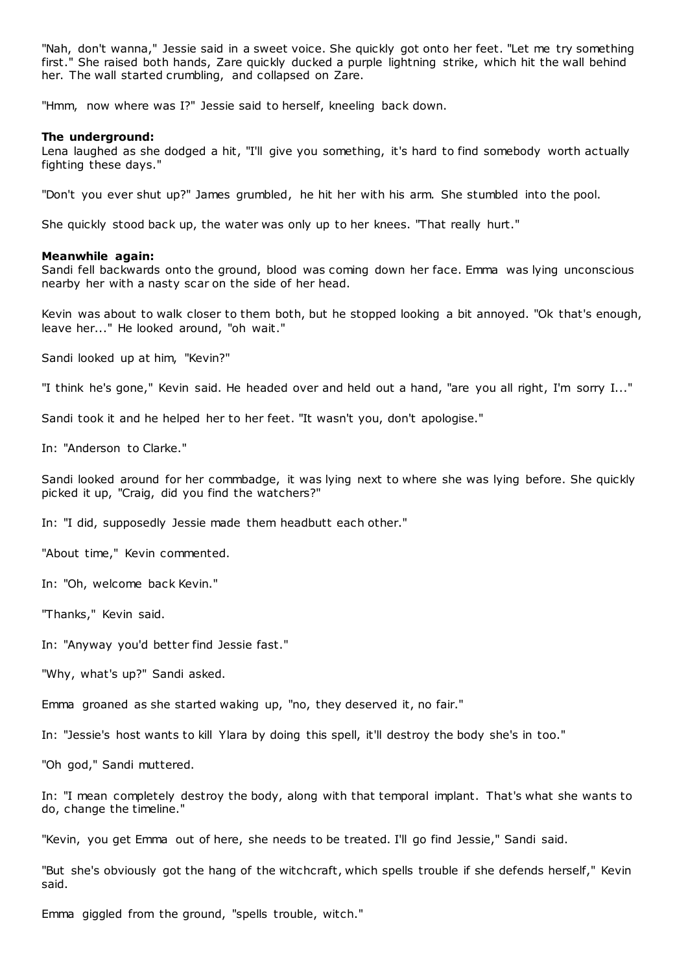"Nah, don't wanna," Jessie said in a sweet voice. She quickly got onto her feet. "Let me try something first." She raised both hands, Zare quickly ducked a purple lightning strike, which hit the wall behind her. The wall started crumbling, and collapsed on Zare.

"Hmm, now where was I?" Jessie said to herself, kneeling back down.

## **The underground:**

Lena laughed as she dodged a hit, "I'll give you something, it's hard to find somebody worth actually fighting these days."

"Don't you ever shut up?" James grumbled, he hit her with his arm. She stumbled into the pool.

She quickly stood back up, the water was only up to her knees. "That really hurt."

# **Meanwhile again:**

Sandi fell backwards onto the ground, blood was coming down her face. Emma was lying unconscious nearby her with a nasty scar on the side of her head.

Kevin was about to walk closer to them both, but he stopped looking a bit annoyed. "Ok that's enough, leave her..." He looked around, "oh wait."

Sandi looked up at him, "Kevin?"

"I think he's gone," Kevin said. He headed over and held out a hand, "are you all right, I'm sorry I..."

Sandi took it and he helped her to her feet. "It wasn't you, don't apologise."

In: "Anderson to Clarke."

Sandi looked around for her commbadge, it was lying next to where she was lying before. She quickly picked it up, "Craig, did you find the watchers?"

In: "I did, supposedly Jessie made them headbutt each other."

"About time," Kevin commented.

In: "Oh, welcome back Kevin."

"Thanks," Kevin said.

In: "Anyway you'd better find Jessie fast."

"Why, what's up?" Sandi asked.

Emma groaned as she started waking up, "no, they deserved it, no fair."

In: "Jessie's host wants to kill Ylara by doing this spell, it'll destroy the body she's in too."

"Oh god," Sandi muttered.

In: "I mean completely destroy the body, along with that temporal implant. That's what she wants to do, change the timeline."

"Kevin, you get Emma out of here, she needs to be treated. I'll go find Jessie," Sandi said.

"But she's obviously got the hang of the witchcraft, which spells trouble if she defends herself," Kevin said.

Emma giggled from the ground, "spells trouble, witch."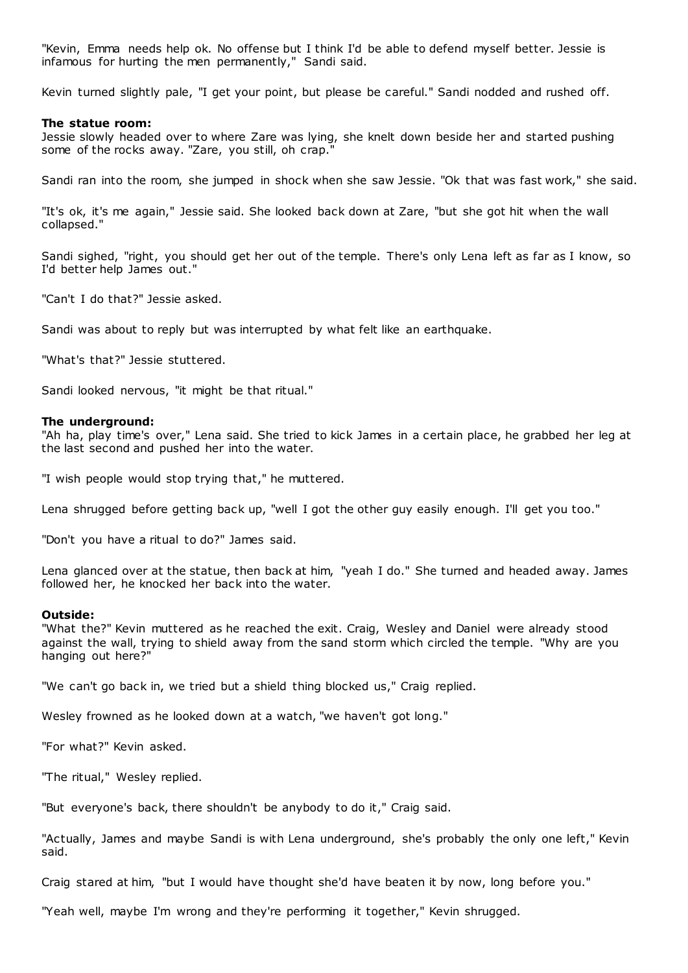"Kevin, Emma needs help ok. No offense but I think I'd be able to defend myself better. Jessie is infamous for hurting the men permanently," Sandi said.

Kevin turned slightly pale, "I get your point, but please be careful." Sandi nodded and rushed off.

## **The statue room:**

Jessie slowly headed over to where Zare was lying, she knelt down beside her and started pushing some of the rocks away. "Zare, you still, oh crap."

Sandi ran into the room, she jumped in shock when she saw Jessie. "Ok that was fast work," she said.

"It's ok, it's me again," Jessie said. She looked back down at Zare, "but she got hit when the wall collapsed."

Sandi sighed, "right, you should get her out of the temple. There's only Lena left as far as I know, so I'd better help James out."

"Can't I do that?" Jessie asked.

Sandi was about to reply but was interrupted by what felt like an earthquake.

"What's that?" Jessie stuttered.

Sandi looked nervous, "it might be that ritual."

## **The underground:**

"Ah ha, play time's over," Lena said. She tried to kick James in a certain place, he grabbed her leg at the last second and pushed her into the water.

"I wish people would stop trying that," he muttered.

Lena shrugged before getting back up, "well I got the other guy easily enough. I'll get you too."

"Don't you have a ritual to do?" James said.

Lena glanced over at the statue, then back at him, "yeah I do." She turned and headed away. James followed her, he knocked her back into the water.

#### **Outside:**

"What the?" Kevin muttered as he reached the exit. Craig, Wesley and Daniel were already stood against the wall, trying to shield away from the sand storm which circled the temple. "Why are you hanging out here?"

"We can't go back in, we tried but a shield thing blocked us," Craig replied.

Wesley frowned as he looked down at a watch, "we haven't got long."

"For what?" Kevin asked.

"The ritual," Wesley replied.

"But everyone's back, there shouldn't be anybody to do it," Craig said.

"Actually, James and maybe Sandi is with Lena underground, she's probably the only one left," Kevin said.

Craig stared at him, "but I would have thought she'd have beaten it by now, long before you."

"Yeah well, maybe I'm wrong and they're performing it together," Kevin shrugged.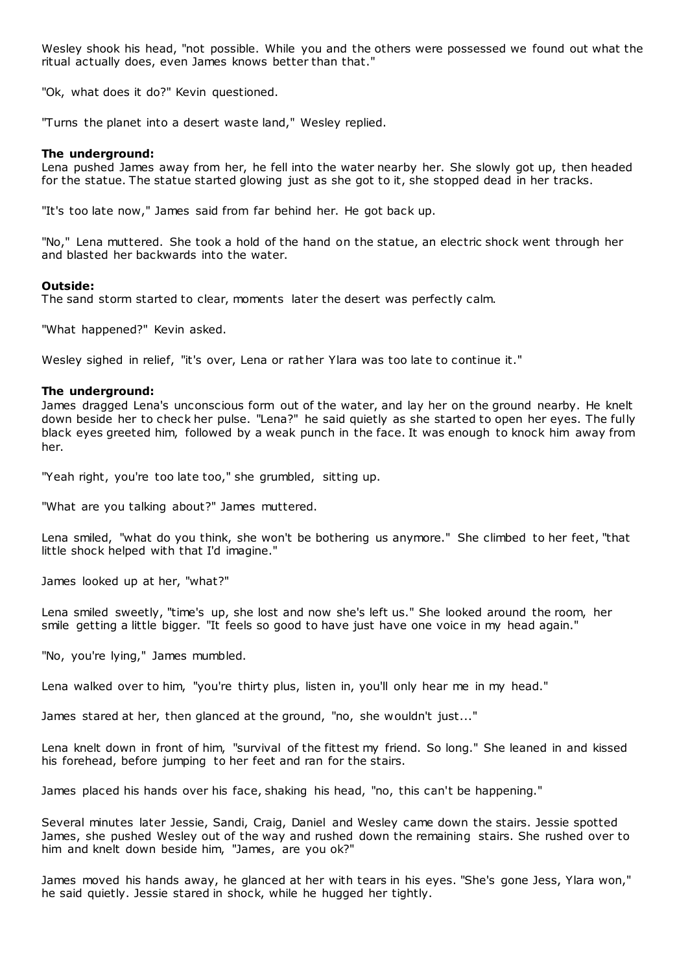Wesley shook his head, "not possible. While you and the others were possessed we found out what the ritual actually does, even James knows better than that."

"Ok, what does it do?" Kevin questioned.

"Turns the planet into a desert waste land," Wesley replied.

# **The underground:**

Lena pushed James away from her, he fell into the water nearby her. She slowly got up, then headed for the statue. The statue started glowing just as she got to it, she stopped dead in her tracks.

"It's too late now," James said from far behind her. He got back up.

"No," Lena muttered. She took a hold of the hand on the statue, an electric shock went through her and blasted her backwards into the water.

# **Outside:**

The sand storm started to clear, moments later the desert was perfectly calm.

"What happened?" Kevin asked.

Wesley sighed in relief, "it's over, Lena or rather Ylara was too late to continue it."

# **The underground:**

James dragged Lena's unconscious form out of the water, and lay her on the ground nearby. He knelt down beside her to check her pulse. "Lena?" he said quietly as she started to open her eyes. The fully black eyes greeted him, followed by a weak punch in the face. It was enough to knock him away from her.

"Yeah right, you're too late too," she grumbled, sitting up.

"What are you talking about?" James muttered.

Lena smiled, "what do you think, she won't be bothering us anymore." She climbed to her feet, "that little shock helped with that I'd imagine."

James looked up at her, "what?"

Lena smiled sweetly, "time's up, she lost and now she's left us." She looked around the room, her smile getting a little bigger. "It feels so good to have just have one voice in my head again."

"No, you're lying," James mumbled.

Lena walked over to him, "you're thirty plus, listen in, you'll only hear me in my head."

James stared at her, then glanced at the ground, "no, she wouldn't just..."

Lena knelt down in front of him, "survival of the fittest my friend. So long." She leaned in and kissed his forehead, before jumping to her feet and ran for the stairs.

James placed his hands over his face, shaking his head, "no, this can't be happening."

Several minutes later Jessie, Sandi, Craig, Daniel and Wesley came down the stairs. Jessie spotted James, she pushed Wesley out of the way and rushed down the remaining stairs. She rushed over to him and knelt down beside him, "James, are you ok?"

James moved his hands away, he glanced at her with tears in his eyes. "She's gone Jess, Ylara won," he said quietly. Jessie stared in shock, while he hugged her tightly.